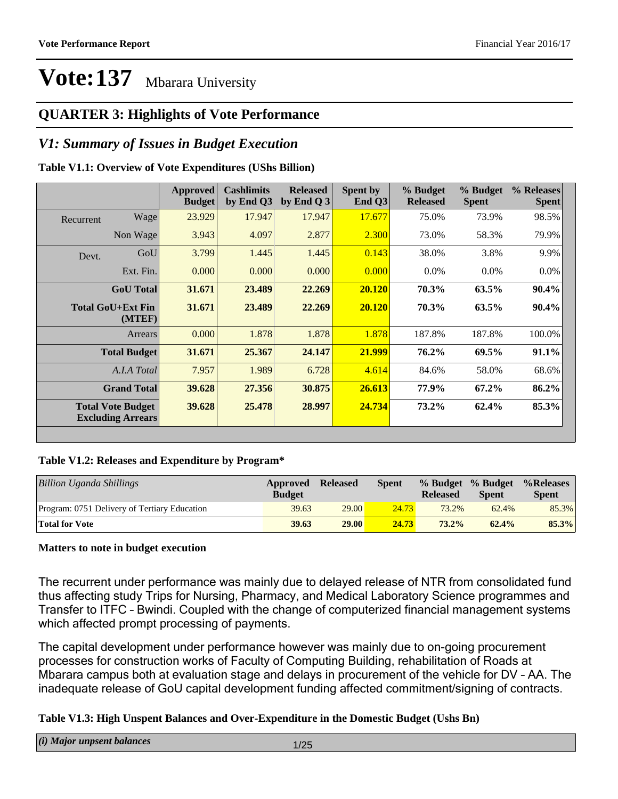### **QUARTER 3: Highlights of Vote Performance**

#### *V1: Summary of Issues in Budget Execution*

#### **Table V1.1: Overview of Vote Expenditures (UShs Billion)**

|           |                                                      | <b>Approved</b><br><b>Budget</b> | <b>Cashlimits</b><br>by End Q3 | <b>Released</b><br>by End $Q_3$ | Spent by<br>End Q3 | % Budget<br><b>Released</b> | % Budget<br><b>Spent</b> | % Releases<br><b>Spent</b> |
|-----------|------------------------------------------------------|----------------------------------|--------------------------------|---------------------------------|--------------------|-----------------------------|--------------------------|----------------------------|
| Recurrent | Wage                                                 | 23.929                           | 17.947                         | 17.947                          | 17.677             | 75.0%                       | 73.9%                    | 98.5%                      |
|           | Non Wage                                             | 3.943                            | 4.097                          | 2.877                           | 2.300              | 73.0%                       | 58.3%                    | 79.9%                      |
| Devt.     | GoU                                                  | 3.799                            | 1.445                          | 1.445                           | 0.143              | 38.0%                       | 3.8%                     | 9.9%                       |
|           | Ext. Fin.                                            | 0.000                            | 0.000                          | 0.000                           | 0.000              | $0.0\%$                     | $0.0\%$                  | $0.0\%$                    |
|           | <b>GoU</b> Total                                     | 31.671                           | 23.489                         | 22.269                          | 20.120             | 70.3%                       | 63.5%                    | 90.4%                      |
|           | <b>Total GoU+Ext Fin</b><br>(MTEF)                   | 31.671                           | 23.489                         | 22.269                          | 20.120             | 70.3%                       | $63.5\%$                 | $90.4\%$                   |
|           | <b>Arrears</b>                                       | 0.000                            | 1.878                          | 1.878                           | 1.878              | 187.8%                      | 187.8%                   | 100.0%                     |
|           | <b>Total Budget</b>                                  | 31.671                           | 25.367                         | 24.147                          | 21.999             | 76.2%                       | 69.5%                    | $91.1\%$                   |
|           | A.I.A Total                                          | 7.957                            | 1.989                          | 6.728                           | 4.614              | 84.6%                       | 58.0%                    | 68.6%                      |
|           | <b>Grand Total</b>                                   | 39.628                           | 27.356                         | 30.875                          | 26.613             | 77.9%                       | $67.2\%$                 | 86.2%                      |
|           | <b>Total Vote Budget</b><br><b>Excluding Arrears</b> | 39.628                           | 25,478                         | 28.997                          | 24.734             | 73.2%                       | 62.4%                    | 85.3%                      |
|           |                                                      |                                  |                                |                                 |                    |                             |                          |                            |

#### **Table V1.2: Releases and Expenditure by Program\***

| <b>Billion Uganda Shillings</b>              | Approved<br><b>Budget</b> | <b>Released</b> | Spent | % Budget % Budget<br><b>Released</b> | <b>Spent</b> | %Releases<br><b>Spent</b> |
|----------------------------------------------|---------------------------|-----------------|-------|--------------------------------------|--------------|---------------------------|
| Program: 0751 Delivery of Tertiary Education | 39.63                     | 29.00           | 24.73 | 73.2%                                | 62.4%        | 85.3%                     |
| <b>Total for Vote</b>                        | 39.63                     | <b>29.00</b>    | 24.73 | $73.2\%$                             | 62.4%        | 85.3%                     |

#### **Matters to note in budget execution**

The recurrent under performance was mainly due to delayed release of NTR from consolidated fund thus affecting study Trips for Nursing, Pharmacy, and Medical Laboratory Science programmes and Transfer to ITFC - Bwindi. Coupled with the change of computerized financial management systems which affected prompt processing of payments.

The capital development under performance however was mainly due to on-going procurement processes for construction works of Faculty of Computing Building, rehabilitation of Roads at Mbarara campus both at evaluation stage and delays in procurement of the vehicle for DV - AA. The inadequate release of GoU capital development funding affected commitment/signing of contracts.

#### **Table V1.3: High Unspent Balances and Over-Expenditure in the Domestic Budget (Ushs Bn)**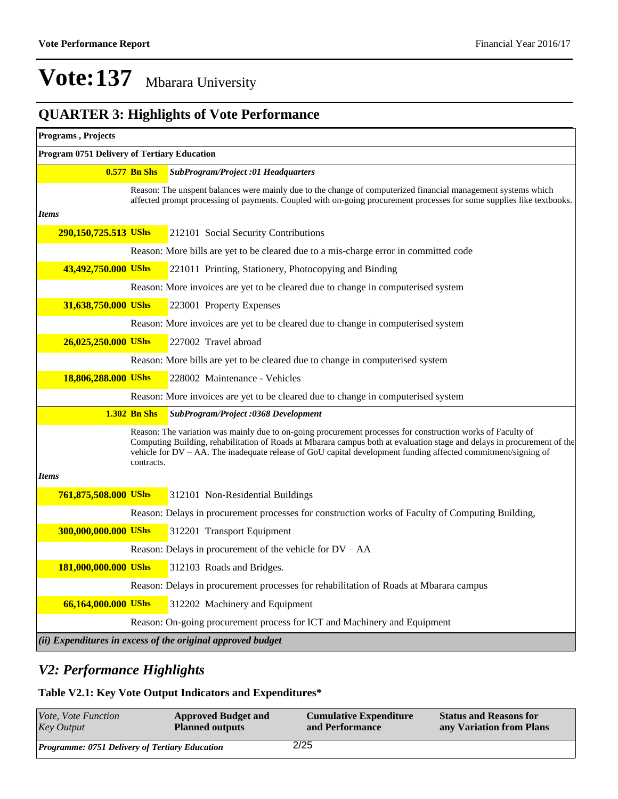### **QUARTER 3: Highlights of Vote Performance**

| Programs, Projects                          |                     |                                                                                                                                                                                                                                                                                                                                                         |
|---------------------------------------------|---------------------|---------------------------------------------------------------------------------------------------------------------------------------------------------------------------------------------------------------------------------------------------------------------------------------------------------------------------------------------------------|
| Program 0751 Delivery of Tertiary Education |                     |                                                                                                                                                                                                                                                                                                                                                         |
|                                             | <b>0.577 Bn Shs</b> | <b>SubProgram/Project :01 Headquarters</b>                                                                                                                                                                                                                                                                                                              |
|                                             |                     | Reason: The unspent balances were mainly due to the change of computerized financial management systems which                                                                                                                                                                                                                                           |
| <b>Items</b>                                |                     | affected prompt processing of payments. Coupled with on-going procurement processes for some supplies like textbooks.                                                                                                                                                                                                                                   |
| 290,150,725.513 UShs                        |                     | 212101 Social Security Contributions                                                                                                                                                                                                                                                                                                                    |
|                                             |                     | Reason: More bills are yet to be cleared due to a mis-charge error in committed code                                                                                                                                                                                                                                                                    |
| 43,492,750.000 UShs                         |                     | 221011 Printing, Stationery, Photocopying and Binding                                                                                                                                                                                                                                                                                                   |
|                                             |                     | Reason: More invoices are yet to be cleared due to change in computerised system                                                                                                                                                                                                                                                                        |
| 31,638,750.000 UShs                         |                     | 223001 Property Expenses                                                                                                                                                                                                                                                                                                                                |
|                                             |                     | Reason: More invoices are yet to be cleared due to change in computerised system                                                                                                                                                                                                                                                                        |
| 26,025,250.000 UShs                         |                     | 227002 Travel abroad                                                                                                                                                                                                                                                                                                                                    |
|                                             |                     | Reason: More bills are yet to be cleared due to change in computerised system                                                                                                                                                                                                                                                                           |
| 18,806,288.000 UShs                         |                     | 228002 Maintenance - Vehicles                                                                                                                                                                                                                                                                                                                           |
|                                             |                     | Reason: More invoices are yet to be cleared due to change in computerised system                                                                                                                                                                                                                                                                        |
|                                             | <b>1.302 Bn Shs</b> | <b>SubProgram/Project :0368 Development</b>                                                                                                                                                                                                                                                                                                             |
|                                             | contracts.          | Reason: The variation was mainly due to on-going procurement processes for construction works of Faculty of<br>Computing Building, rehabilitation of Roads at Mbarara campus both at evaluation stage and delays in procurement of the<br>vehicle for DV – AA. The inadequate release of GoU capital development funding affected commitment/signing of |
| <b>Items</b>                                |                     |                                                                                                                                                                                                                                                                                                                                                         |
| 761,875,508.000 UShs                        |                     | 312101 Non-Residential Buildings                                                                                                                                                                                                                                                                                                                        |
|                                             |                     | Reason: Delays in procurement processes for construction works of Faculty of Computing Building,                                                                                                                                                                                                                                                        |
| 300,000,000.000 UShs                        |                     | 312201 Transport Equipment                                                                                                                                                                                                                                                                                                                              |
|                                             |                     | Reason: Delays in procurement of the vehicle for DV - AA                                                                                                                                                                                                                                                                                                |
| 181,000,000.000 UShs                        |                     | 312103 Roads and Bridges.                                                                                                                                                                                                                                                                                                                               |
|                                             |                     | Reason: Delays in procurement processes for rehabilitation of Roads at Mbarara campus                                                                                                                                                                                                                                                                   |
| 66,164,000.000 UShs                         |                     | 312202 Machinery and Equipment                                                                                                                                                                                                                                                                                                                          |
|                                             |                     | Reason: On-going procurement process for ICT and Machinery and Equipment                                                                                                                                                                                                                                                                                |
|                                             |                     | (ii) Expenditures in excess of the original approved budget                                                                                                                                                                                                                                                                                             |

### *V2: Performance Highlights*

#### **Table V2.1: Key Vote Output Indicators and Expenditures\***

| Vote, Vote Function                                   | <b>Approved Budget and</b> | <b>Cumulative Expenditure</b> | <b>Status and Reasons for</b> |
|-------------------------------------------------------|----------------------------|-------------------------------|-------------------------------|
| <b>Key Output</b>                                     | <b>Planned outputs</b>     | and Performance               | any Variation from Plans      |
| <b>Programme: 0751 Delivery of Tertiary Education</b> |                            | 2/25                          |                               |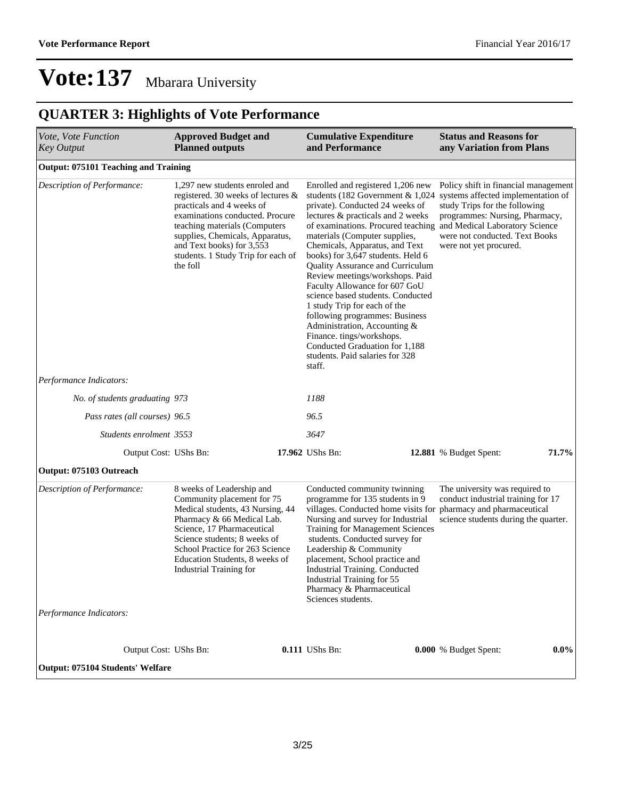### **QUARTER 3: Highlights of Vote Performance**

| Vote, Vote Function<br><b>Key Output</b>               | <b>Approved Budget and</b><br><b>Planned outputs</b>                                                                                                                                                                                                                                    | <b>Cumulative Expenditure</b><br>and Performance                                                                                                                                                                                                                                                                                                                                                                                                                                                                                                                                                                          | <b>Status and Reasons for</b><br>any Variation from Plans                                                                                                                                                                                                                      |
|--------------------------------------------------------|-----------------------------------------------------------------------------------------------------------------------------------------------------------------------------------------------------------------------------------------------------------------------------------------|---------------------------------------------------------------------------------------------------------------------------------------------------------------------------------------------------------------------------------------------------------------------------------------------------------------------------------------------------------------------------------------------------------------------------------------------------------------------------------------------------------------------------------------------------------------------------------------------------------------------------|--------------------------------------------------------------------------------------------------------------------------------------------------------------------------------------------------------------------------------------------------------------------------------|
| <b>Output: 075101 Teaching and Training</b>            |                                                                                                                                                                                                                                                                                         |                                                                                                                                                                                                                                                                                                                                                                                                                                                                                                                                                                                                                           |                                                                                                                                                                                                                                                                                |
| Description of Performance:                            | 1,297 new students enroled and<br>registered. 30 weeks of lectures &<br>practicals and 4 weeks of<br>examinations conducted. Procure<br>teaching materials (Computers<br>supplies, Chemicals, Apparatus,<br>and Text books) for 3,553<br>students. 1 Study Trip for each of<br>the foll | Enrolled and registered 1,206 new<br>students (182 Government & $1,024$<br>private). Conducted 24 weeks of<br>lectures & practicals and 2 weeks<br>materials (Computer supplies,<br>Chemicals, Apparatus, and Text<br>books) for 3,647 students. Held 6<br><b>Quality Assurance and Curriculum</b><br>Review meetings/workshops. Paid<br>Faculty Allowance for 607 GoU<br>science based students. Conducted<br>1 study Trip for each of the<br>following programmes: Business<br>Administration, Accounting &<br>Finance. tings/workshops.<br>Conducted Graduation for 1,188<br>students. Paid salaries for 328<br>staff. | Policy shift in financial management<br>systems affected implementation of<br>study Trips for the following<br>programmes: Nursing, Pharmacy,<br>of examinations. Procured teaching and Medical Laboratory Science<br>were not conducted. Text Books<br>were not yet procured. |
| Performance Indicators:                                |                                                                                                                                                                                                                                                                                         |                                                                                                                                                                                                                                                                                                                                                                                                                                                                                                                                                                                                                           |                                                                                                                                                                                                                                                                                |
| No. of students graduating 973                         |                                                                                                                                                                                                                                                                                         | 1188                                                                                                                                                                                                                                                                                                                                                                                                                                                                                                                                                                                                                      |                                                                                                                                                                                                                                                                                |
| Pass rates (all courses) 96.5                          |                                                                                                                                                                                                                                                                                         | 96.5                                                                                                                                                                                                                                                                                                                                                                                                                                                                                                                                                                                                                      |                                                                                                                                                                                                                                                                                |
| Students enrolment 3553                                |                                                                                                                                                                                                                                                                                         | 3647                                                                                                                                                                                                                                                                                                                                                                                                                                                                                                                                                                                                                      |                                                                                                                                                                                                                                                                                |
| Output Cost: UShs Bn:                                  |                                                                                                                                                                                                                                                                                         | 17.962 UShs Bn:                                                                                                                                                                                                                                                                                                                                                                                                                                                                                                                                                                                                           | 71.7%<br>12.881 % Budget Spent:                                                                                                                                                                                                                                                |
| Output: 075103 Outreach                                |                                                                                                                                                                                                                                                                                         |                                                                                                                                                                                                                                                                                                                                                                                                                                                                                                                                                                                                                           |                                                                                                                                                                                                                                                                                |
| Description of Performance:<br>Performance Indicators: | 8 weeks of Leadership and<br>Community placement for 75<br>Medical students, 43 Nursing, 44<br>Pharmacy & 66 Medical Lab.<br>Science, 17 Pharmaceutical<br>Science students; 8 weeks of<br>School Practice for 263 Science<br>Education Students, 8 weeks of<br>Industrial Training for | Conducted community twinning<br>programme for 135 students in 9<br>villages. Conducted home visits for pharmacy and pharmaceutical<br>Nursing and survey for Industrial<br><b>Training for Management Sciences</b><br>students. Conducted survey for<br>Leadership & Community<br>placement, School practice and<br>Industrial Training. Conducted<br>Industrial Training for 55<br>Pharmacy & Pharmaceutical<br>Sciences students.                                                                                                                                                                                       | The university was required to<br>conduct industrial training for 17<br>science students during the quarter.                                                                                                                                                                   |
|                                                        |                                                                                                                                                                                                                                                                                         |                                                                                                                                                                                                                                                                                                                                                                                                                                                                                                                                                                                                                           |                                                                                                                                                                                                                                                                                |
| Output Cost: UShs Bn:                                  |                                                                                                                                                                                                                                                                                         | 0.111 UShs Bn:                                                                                                                                                                                                                                                                                                                                                                                                                                                                                                                                                                                                            | 0.000 % Budget Spent:<br>$0.0\%$                                                                                                                                                                                                                                               |
| Output: 075104 Students' Welfare                       |                                                                                                                                                                                                                                                                                         |                                                                                                                                                                                                                                                                                                                                                                                                                                                                                                                                                                                                                           |                                                                                                                                                                                                                                                                                |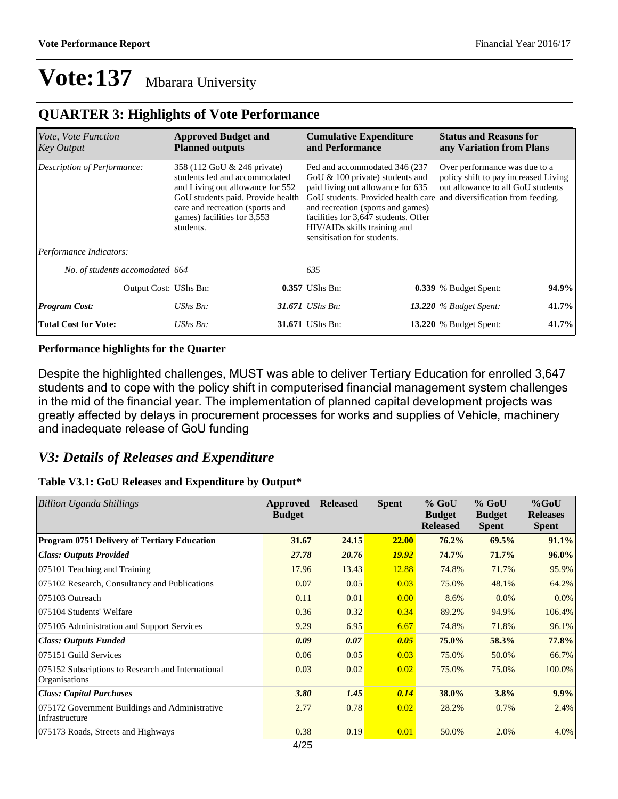#### **QUARTER 3: Highlights of Vote Performance**

| Vote, Vote Function<br><b>Key Output</b> | <b>Approved Budget and</b><br><b>Cumulative Expenditure</b><br>and Performance<br><b>Planned outputs</b>                                                                                                             |  |                                                                                                                                                                                                                                                      |                                                                                                                                                                                    | <b>Status and Reasons for</b><br>any Variation from Plans |       |
|------------------------------------------|----------------------------------------------------------------------------------------------------------------------------------------------------------------------------------------------------------------------|--|------------------------------------------------------------------------------------------------------------------------------------------------------------------------------------------------------------------------------------------------------|------------------------------------------------------------------------------------------------------------------------------------------------------------------------------------|-----------------------------------------------------------|-------|
| Description of Performance:              | 358 (112 GoU & 246 private)<br>students fed and accommodated<br>and Living out allowance for 552<br>GoU students paid. Provide health<br>care and recreation (sports and<br>games) facilities for 3,553<br>students. |  | Fed and accommodated 346 (237)<br>GoU $& 100$ private) students and<br>paid living out allowance for 635<br>and recreation (sports and games)<br>facilities for 3,647 students. Offer<br>HIV/AIDs skills training and<br>sensitisation for students. | Over performance was due to a<br>policy shift to pay increased Living<br>out allowance to all GoU students<br>GoU students. Provided health care and diversification from feeding. |                                                           |       |
| Performance Indicators:                  |                                                                                                                                                                                                                      |  |                                                                                                                                                                                                                                                      |                                                                                                                                                                                    |                                                           |       |
| No. of students accomodated 664          |                                                                                                                                                                                                                      |  | 635                                                                                                                                                                                                                                                  |                                                                                                                                                                                    |                                                           |       |
| Output Cost: UShs Bn:                    |                                                                                                                                                                                                                      |  | $0.357$ UShs Bn:                                                                                                                                                                                                                                     |                                                                                                                                                                                    | <b>0.339</b> % Budget Spent:                              | 94.9% |
| <b>Program Cost:</b>                     | $UShs Bn$ :                                                                                                                                                                                                          |  | 31.671 <i>UShs Bn</i> :                                                                                                                                                                                                                              |                                                                                                                                                                                    | 13.220 $%$ Budget Spent:                                  | 41.7% |
| <b>Total Cost for Vote:</b>              | UShs Bn:                                                                                                                                                                                                             |  | 31.671 UShs Bn:                                                                                                                                                                                                                                      |                                                                                                                                                                                    | 13.220 % Budget Spent:                                    | 41.7% |

#### **Performance highlights for the Quarter**

Despite the highlighted challenges, MUST was able to deliver Tertiary Education for enrolled 3,647 students and to cope with the policy shift in computerised financial management system challenges in the mid of the financial year. The implementation of planned capital development projects was greatly affected by delays in procurement processes for works and supplies of Vehicle, machinery and inadequate release of GoU funding

#### *V3: Details of Releases and Expenditure*

#### **Table V3.1: GoU Releases and Expenditure by Output\***

| <b>Billion Uganda Shillings</b>                                           | Approved<br><b>Budget</b> | <b>Released</b> | <b>Spent</b> | $%$ GoU<br><b>Budget</b><br><b>Released</b> | $%$ GoU<br><b>Budget</b><br><b>Spent</b> | $%$ GoU<br><b>Releases</b><br><b>Spent</b> |
|---------------------------------------------------------------------------|---------------------------|-----------------|--------------|---------------------------------------------|------------------------------------------|--------------------------------------------|
| Program 0751 Delivery of Tertiary Education                               | 31.67                     | 24.15           | <b>22.00</b> | $76.2\%$                                    | 69.5%                                    | 91.1%                                      |
| <b>Class: Outputs Provided</b>                                            | 27.78                     | 20.76           | <b>19.92</b> | 74.7%                                       | 71.7%                                    | $96.0\%$                                   |
| 075101 Teaching and Training                                              | 17.96                     | 13.43           | 12.88        | 74.8%                                       | 71.7%                                    | 95.9%                                      |
| 075102 Research, Consultancy and Publications                             | 0.07                      | 0.05            | 0.03         | 75.0%                                       | 48.1%                                    | 64.2%                                      |
| 075103 Outreach                                                           | 0.11                      | 0.01            | 0.00         | 8.6%                                        | 0.0%                                     | $0.0\%$                                    |
| 075104 Students' Welfare                                                  | 0.36                      | 0.32            | 0.34         | 89.2%                                       | 94.9%                                    | 106.4%                                     |
| 075105 Administration and Support Services                                | 9.29                      | 6.95            | 6.67         | 74.8%                                       | 71.8%                                    | 96.1%                                      |
| <b>Class: Outputs Funded</b>                                              | 0.09                      | 0.07            | 0.05         | 75.0%                                       | 58.3%                                    | 77.8%                                      |
| 075151 Guild Services                                                     | 0.06                      | 0.05            | 0.03         | 75.0%                                       | 50.0%                                    | 66.7%                                      |
| 075152 Subsciptions to Research and International<br><b>Organisations</b> | 0.03                      | 0.02            | 0.02         | 75.0%                                       | 75.0%                                    | 100.0%                                     |
| <b>Class: Capital Purchases</b>                                           | 3.80                      | 1.45            | 0.14         | 38.0%                                       | 3.8%                                     | 9.9%                                       |
| 075172 Government Buildings and Administrative<br>Infrastructure          | 2.77                      | 0.78            | 0.02         | 28.2%                                       | 0.7%                                     | 2.4%                                       |
| 075173 Roads, Streets and Highways                                        | 0.38                      | 0.19            | 0.01         | 50.0%                                       | 2.0%                                     | 4.0%                                       |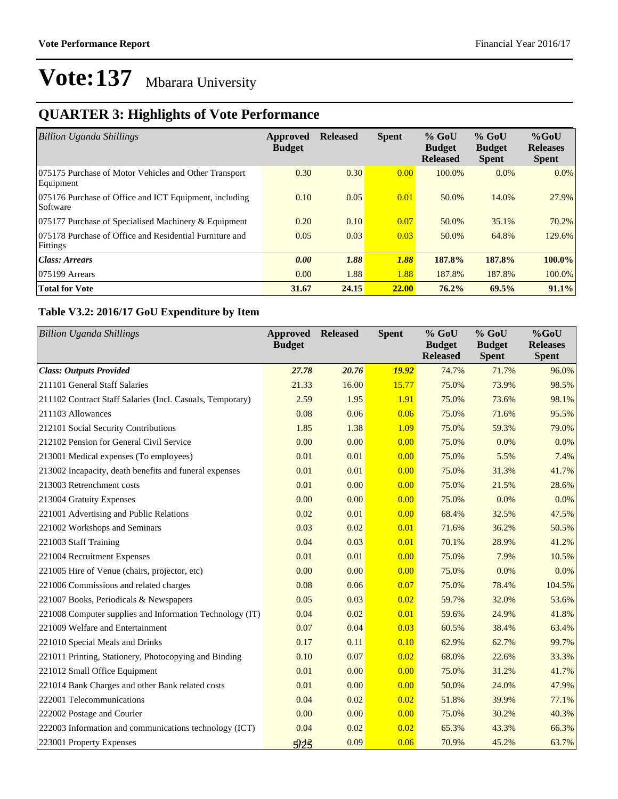### **QUARTER 3: Highlights of Vote Performance**

| <b>Billion Uganda Shillings</b>                                     | Approved<br><b>Budget</b> | <b>Released</b> | <b>Spent</b> | $%$ GoU<br><b>Budget</b><br><b>Released</b> | $%$ GoU<br><b>Budget</b><br><b>Spent</b> | $%$ GoU<br><b>Releases</b><br><b>Spent</b> |
|---------------------------------------------------------------------|---------------------------|-----------------|--------------|---------------------------------------------|------------------------------------------|--------------------------------------------|
| 075175 Purchase of Motor Vehicles and Other Transport<br>Equipment  | 0.30                      | 0.30            | 0.00         | 100.0%                                      | $0.0\%$                                  | $0.0\%$                                    |
| 075176 Purchase of Office and ICT Equipment, including<br>Software  | 0.10                      | 0.05            | 0.01         | 50.0%                                       | 14.0%                                    | 27.9%                                      |
| 075177 Purchase of Specialised Machinery & Equipment                | 0.20                      | 0.10            | 0.07         | 50.0%                                       | 35.1%                                    | 70.2%                                      |
| 075178 Purchase of Office and Residential Furniture and<br>Fittings | 0.05                      | 0.03            | 0.03         | 50.0%                                       | 64.8%                                    | 129.6%                                     |
| Class: Arrears                                                      | 0.00                      | 1.88            | 1.88         | 187.8%                                      | 187.8%                                   | $100.0\%$                                  |
| $ 075199$ Arrears                                                   | 0.00                      | 1.88            | 1.88         | 187.8%                                      | 187.8%                                   | 100.0%                                     |
| <b>Total for Vote</b>                                               | 31.67                     | 24.15           | <b>22.00</b> | $76.2\%$                                    | 69.5%                                    | 91.1%                                      |

#### **Table V3.2: 2016/17 GoU Expenditure by Item**

| <b>Billion Uganda Shillings</b>                           | <b>Approved</b><br><b>Budget</b> | <b>Released</b> | <b>Spent</b> | % GoU<br><b>Budget</b><br><b>Released</b> | $%$ GoU<br><b>Budget</b><br><b>Spent</b> | %GoU<br><b>Releases</b><br><b>Spent</b> |
|-----------------------------------------------------------|----------------------------------|-----------------|--------------|-------------------------------------------|------------------------------------------|-----------------------------------------|
| <b>Class: Outputs Provided</b>                            | 27.78                            | 20.76           | <b>19.92</b> | 74.7%                                     | 71.7%                                    | 96.0%                                   |
| 211101 General Staff Salaries                             | 21.33                            | 16.00           | 15.77        | 75.0%                                     | 73.9%                                    | 98.5%                                   |
| 211102 Contract Staff Salaries (Incl. Casuals, Temporary) | 2.59                             | 1.95            | 1.91         | 75.0%                                     | 73.6%                                    | 98.1%                                   |
| 211103 Allowances                                         | 0.08                             | 0.06            | 0.06         | 75.0%                                     | 71.6%                                    | 95.5%                                   |
| 212101 Social Security Contributions                      | 1.85                             | 1.38            | 1.09         | 75.0%                                     | 59.3%                                    | 79.0%                                   |
| 212102 Pension for General Civil Service                  | 0.00                             | 0.00            | 0.00         | 75.0%                                     | 0.0%                                     | 0.0%                                    |
| 213001 Medical expenses (To employees)                    | 0.01                             | 0.01            | 0.00         | 75.0%                                     | 5.5%                                     | 7.4%                                    |
| 213002 Incapacity, death benefits and funeral expenses    | 0.01                             | 0.01            | 0.00         | 75.0%                                     | 31.3%                                    | 41.7%                                   |
| 213003 Retrenchment costs                                 | 0.01                             | 0.00            | 0.00         | 75.0%                                     | 21.5%                                    | 28.6%                                   |
| 213004 Gratuity Expenses                                  | 0.00                             | 0.00            | 0.00         | 75.0%                                     | 0.0%                                     | 0.0%                                    |
| 221001 Advertising and Public Relations                   | 0.02                             | 0.01            | 0.00         | 68.4%                                     | 32.5%                                    | 47.5%                                   |
| 221002 Workshops and Seminars                             | 0.03                             | 0.02            | 0.01         | 71.6%                                     | 36.2%                                    | 50.5%                                   |
| 221003 Staff Training                                     | 0.04                             | 0.03            | 0.01         | 70.1%                                     | 28.9%                                    | 41.2%                                   |
| 221004 Recruitment Expenses                               | 0.01                             | 0.01            | 0.00         | 75.0%                                     | 7.9%                                     | 10.5%                                   |
| 221005 Hire of Venue (chairs, projector, etc)             | 0.00                             | 0.00            | 0.00         | 75.0%                                     | 0.0%                                     | 0.0%                                    |
| 221006 Commissions and related charges                    | 0.08                             | 0.06            | 0.07         | 75.0%                                     | 78.4%                                    | 104.5%                                  |
| 221007 Books, Periodicals & Newspapers                    | 0.05                             | 0.03            | 0.02         | 59.7%                                     | 32.0%                                    | 53.6%                                   |
| 221008 Computer supplies and Information Technology (IT)  | 0.04                             | 0.02            | 0.01         | 59.6%                                     | 24.9%                                    | 41.8%                                   |
| 221009 Welfare and Entertainment                          | 0.07                             | 0.04            | 0.03         | 60.5%                                     | 38.4%                                    | 63.4%                                   |
| 221010 Special Meals and Drinks                           | 0.17                             | 0.11            | 0.10         | 62.9%                                     | 62.7%                                    | 99.7%                                   |
| 221011 Printing, Stationery, Photocopying and Binding     | 0.10                             | 0.07            | 0.02         | 68.0%                                     | 22.6%                                    | 33.3%                                   |
| 221012 Small Office Equipment                             | 0.01                             | 0.00            | 0.00         | 75.0%                                     | 31.2%                                    | 41.7%                                   |
| 221014 Bank Charges and other Bank related costs          | 0.01                             | 0.00            | 0.00         | 50.0%                                     | 24.0%                                    | 47.9%                                   |
| 222001 Telecommunications                                 | 0.04                             | 0.02            | 0.02         | 51.8%                                     | 39.9%                                    | 77.1%                                   |
| 222002 Postage and Courier                                | 0.00                             | 0.00            | 0.00         | 75.0%                                     | 30.2%                                    | 40.3%                                   |
| 222003 Information and communications technology (ICT)    | 0.04                             | 0.02            | 0.02         | 65.3%                                     | 43.3%                                    | 66.3%                                   |
| 223001 Property Expenses                                  | 923                              | 0.09            | 0.06         | 70.9%                                     | 45.2%                                    | 63.7%                                   |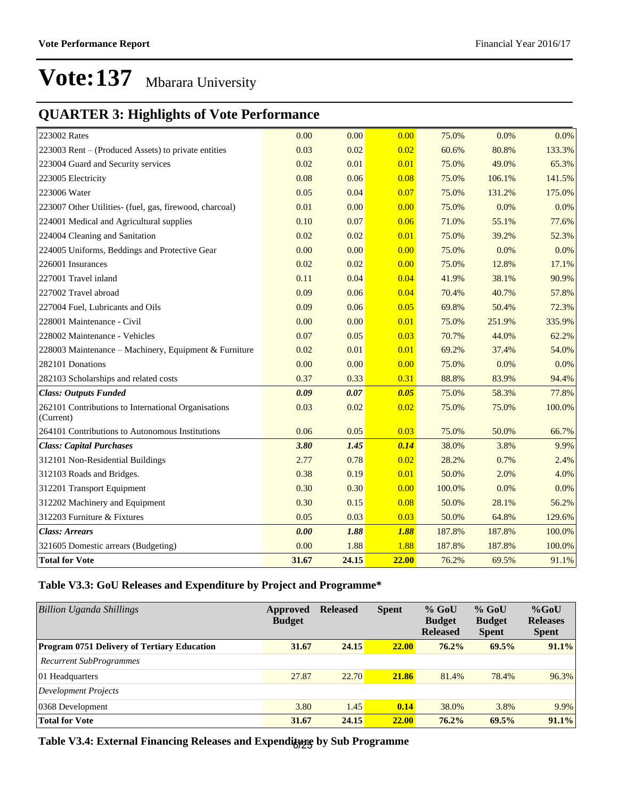### **QUARTER 3: Highlights of Vote Performance**

| 223002 Rates                                                     | 0.00  | 0.00  | 0.00  | 75.0%  | 0.0%   | $0.0\%$ |
|------------------------------------------------------------------|-------|-------|-------|--------|--------|---------|
| 223003 Rent - (Produced Assets) to private entities              | 0.03  | 0.02  | 0.02  | 60.6%  | 80.8%  | 133.3%  |
| 223004 Guard and Security services                               | 0.02  | 0.01  | 0.01  | 75.0%  | 49.0%  | 65.3%   |
| 223005 Electricity                                               | 0.08  | 0.06  | 0.08  | 75.0%  | 106.1% | 141.5%  |
| 223006 Water                                                     | 0.05  | 0.04  | 0.07  | 75.0%  | 131.2% | 175.0%  |
| 223007 Other Utilities- (fuel, gas, firewood, charcoal)          | 0.01  | 0.00  | 0.00  | 75.0%  | 0.0%   | 0.0%    |
| 224001 Medical and Agricultural supplies                         | 0.10  | 0.07  | 0.06  | 71.0%  | 55.1%  | 77.6%   |
| 224004 Cleaning and Sanitation                                   | 0.02  | 0.02  | 0.01  | 75.0%  | 39.2%  | 52.3%   |
| 224005 Uniforms, Beddings and Protective Gear                    | 0.00  | 0.00  | 0.00  | 75.0%  | 0.0%   | 0.0%    |
| 226001 Insurances                                                | 0.02  | 0.02  | 0.00  | 75.0%  | 12.8%  | 17.1%   |
| 227001 Travel inland                                             | 0.11  | 0.04  | 0.04  | 41.9%  | 38.1%  | 90.9%   |
| 227002 Travel abroad                                             | 0.09  | 0.06  | 0.04  | 70.4%  | 40.7%  | 57.8%   |
| 227004 Fuel, Lubricants and Oils                                 | 0.09  | 0.06  | 0.05  | 69.8%  | 50.4%  | 72.3%   |
| 228001 Maintenance - Civil                                       | 0.00  | 0.00  | 0.01  | 75.0%  | 251.9% | 335.9%  |
| 228002 Maintenance - Vehicles                                    | 0.07  | 0.05  | 0.03  | 70.7%  | 44.0%  | 62.2%   |
| 228003 Maintenance - Machinery, Equipment & Furniture            | 0.02  | 0.01  | 0.01  | 69.2%  | 37.4%  | 54.0%   |
| 282101 Donations                                                 | 0.00  | 0.00  | 0.00  | 75.0%  | 0.0%   | 0.0%    |
| 282103 Scholarships and related costs                            | 0.37  | 0.33  | 0.31  | 88.8%  | 83.9%  | 94.4%   |
| <b>Class: Outputs Funded</b>                                     | 0.09  | 0.07  | 0.05  | 75.0%  | 58.3%  | 77.8%   |
| 262101 Contributions to International Organisations<br>(Current) | 0.03  | 0.02  | 0.02  | 75.0%  | 75.0%  | 100.0%  |
| 264101 Contributions to Autonomous Institutions                  | 0.06  | 0.05  | 0.03  | 75.0%  | 50.0%  | 66.7%   |
| <b>Class: Capital Purchases</b>                                  | 3.80  | 1.45  | 0.14  | 38.0%  | 3.8%   | 9.9%    |
| 312101 Non-Residential Buildings                                 | 2.77  | 0.78  | 0.02  | 28.2%  | 0.7%   | 2.4%    |
| 312103 Roads and Bridges.                                        | 0.38  | 0.19  | 0.01  | 50.0%  | 2.0%   | 4.0%    |
| 312201 Transport Equipment                                       | 0.30  | 0.30  | 0.00  | 100.0% | 0.0%   | 0.0%    |
| 312202 Machinery and Equipment                                   | 0.30  | 0.15  | 0.08  | 50.0%  | 28.1%  | 56.2%   |
| 312203 Furniture & Fixtures                                      | 0.05  | 0.03  | 0.03  | 50.0%  | 64.8%  | 129.6%  |
| <b>Class: Arrears</b>                                            | 0.00  | 1.88  | 1.88  | 187.8% | 187.8% | 100.0%  |
| 321605 Domestic arrears (Budgeting)                              | 0.00  | 1.88  | 1.88  | 187.8% | 187.8% | 100.0%  |
| <b>Total for Vote</b>                                            | 31.67 | 24.15 | 22.00 | 76.2%  | 69.5%  | 91.1%   |

#### **Table V3.3: GoU Releases and Expenditure by Project and Programme\***

| Billion Uganda Shillings                           | Approved<br><b>Budget</b> | <b>Released</b> | <b>Spent</b> | $%$ GoU<br><b>Budget</b><br><b>Released</b> | $%$ GoU<br><b>Budget</b><br><b>Spent</b> | $%$ GoU<br><b>Releases</b><br><b>Spent</b> |
|----------------------------------------------------|---------------------------|-----------------|--------------|---------------------------------------------|------------------------------------------|--------------------------------------------|
| <b>Program 0751 Delivery of Tertiary Education</b> | 31.67                     | 24.15           | <b>22.00</b> | 76.2%                                       | 69.5%                                    | 91.1%                                      |
| <b>Recurrent SubProgrammes</b>                     |                           |                 |              |                                             |                                          |                                            |
| 01 Headquarters                                    | 27.87                     | 22.70           | 21.86        | 81.4%                                       | 78.4%                                    | 96.3%                                      |
| Development Projects                               |                           |                 |              |                                             |                                          |                                            |
| 0368 Development                                   | 3.80                      | 1.45            | 0.14         | 38.0%                                       | 3.8%                                     | 9.9%                                       |
| <b>Total for Vote</b>                              | 31.67                     | 24.15           | <b>22.00</b> | $76.2\%$                                    | 69.5%                                    | 91.1%                                      |

Table V3.4: External Financing Releases and Expenditure by Sub Programme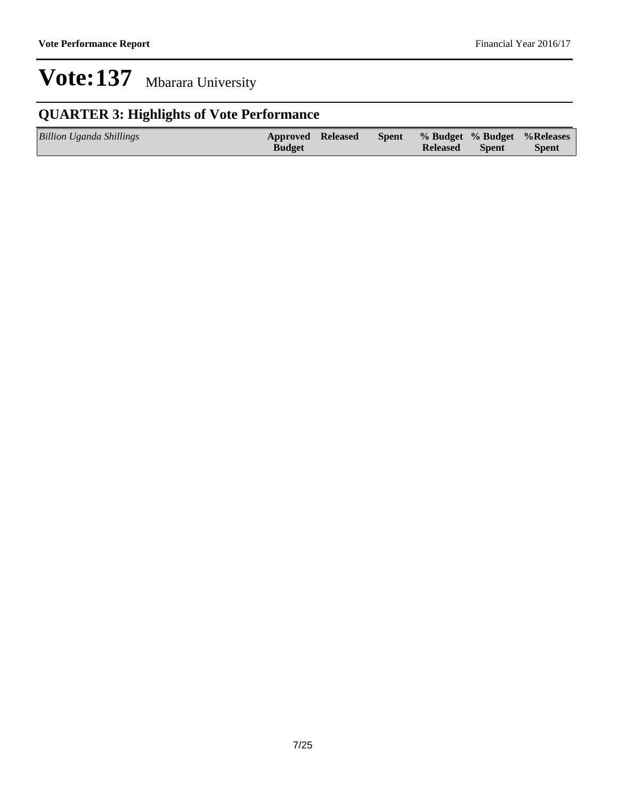### **QUARTER 3: Highlights of Vote Performance**

| <b>Billion Uganda Shillings</b> | <b>Approved Released</b> | <b>Spent</b> |                 |              | % Budget % Budget % Releases |
|---------------------------------|--------------------------|--------------|-----------------|--------------|------------------------------|
|                                 | <b>Budget</b>            |              | <b>Released</b> | <b>Spent</b> | <b>Spent</b>                 |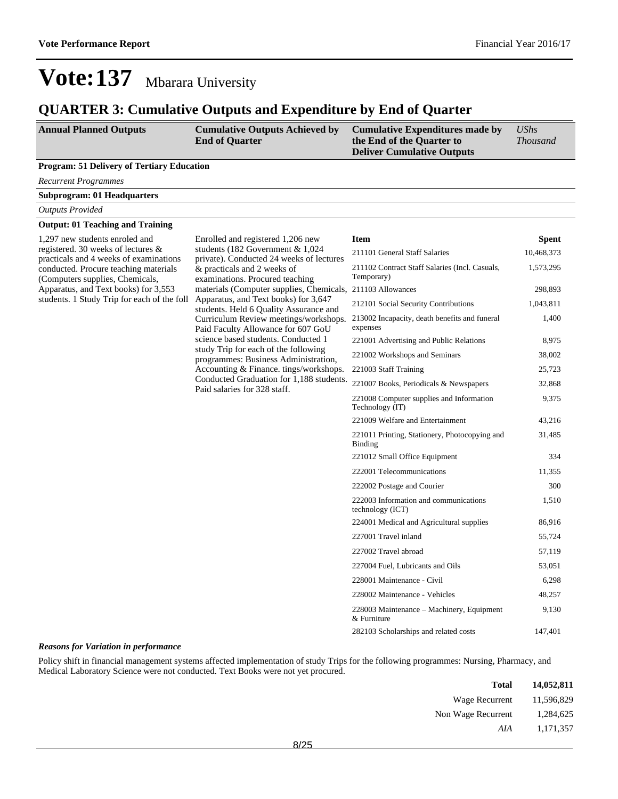1,400

9,375

31,485

1,510

9,130

## **Vote:137** Mbarara University

#### **QUARTER 3: Cumulative Outputs and Expenditure by End of Quarter**

| <b>Annual Planned Outputs</b>                     | <b>Cumulative Outputs Achieved by</b><br><b>End of Quarter</b> | <b>Cumulative Expenditures made by</b><br>the End of the Quarter to<br><b>Deliver Cumulative Outputs</b> | $\mathit{UShs}$<br><i>Thousand</i> |
|---------------------------------------------------|----------------------------------------------------------------|----------------------------------------------------------------------------------------------------------|------------------------------------|
| <b>Program: 51 Delivery of Tertiary Education</b> |                                                                |                                                                                                          |                                    |
| <b>Recurrent Programmes</b>                       |                                                                |                                                                                                          |                                    |
| <b>Subprogram: 01 Headquarters</b>                |                                                                |                                                                                                          |                                    |
| <b>Outputs Provided</b>                           |                                                                |                                                                                                          |                                    |
|                                                   |                                                                |                                                                                                          |                                    |

#### **Output: 01 Teaching and Training**

1,297 new students enroled and registered. 30 weeks of lectures & practicals and 4 weeks of examinations conducted. Procure teaching materials (Computers supplies, Chemicals, Apparatus, and Text books) for 3,553 students. 1 Study Trip for each of the foll

Enrolled and registered 1,206 new students (182 Government & 1,024 private). Conducted 24 weeks of lectures & practicals and 2 weeks of examinations. Procured teaching Apparatus, and Text books) for 3,647 students. Held 6 Quality Assurance and Curriculum Review meetings/workshops. Paid Faculty Allowance for 607 GoU science based students. Conducted 1 study Trip for each of the following programmes: Business Administration, Accounting & Finance. tings/workshops. Conducted Graduation for 1,188 students. Paid salaries for 328 staff.

#### materials (Computer supplies, Chemicals, 211103 Allowances 298,893 **Item Spent** 211101 General Staff Salaries 10,468,373 211102 Contract Staff Salaries (Incl. Casuals, Temporary) 1,573,295 212101 Social Security Contributions 1,043,811 213002 Incapacity, death benefits and funeral expenses 221001 Advertising and Public Relations 8,975 221002 Workshops and Seminars 38,002 221003 Staff Training 25,723 221007 Books, Periodicals & Newspapers 32,868 221008 Computer supplies and Information Technology (IT) 221009 Welfare and Entertainment 43,216 221011 Printing, Stationery, Photocopying and Binding 221012 Small Office Equipment 334 222001 Telecommunications 11,355 222002 Postage and Courier 300 222003 Information and communications technology (ICT) 224001 Medical and Agricultural supplies 86,916 227001 Travel inland 55,724

227002 Travel abroad 57,119 227004 Fuel, Lubricants and Oils 53,051 228001 Maintenance - Civil 6,298 228002 Maintenance - Vehicles 48,257

282103 Scholarships and related costs 147,401

228003 Maintenance - Machinery, Equipment

#### *Reasons for Variation in performance*

Policy shift in financial management systems affected implementation of study Trips for the following programmes: Nursing, Pharmacy, and Medical Laboratory Science were not conducted. Text Books were not yet procured.

| <b>Total</b>       | 14,052,811 |
|--------------------|------------|
| Wage Recurrent     | 11,596,829 |
| Non Wage Recurrent | 1,284,625  |
| AIA                | 1,171,357  |
|                    |            |

& Furniture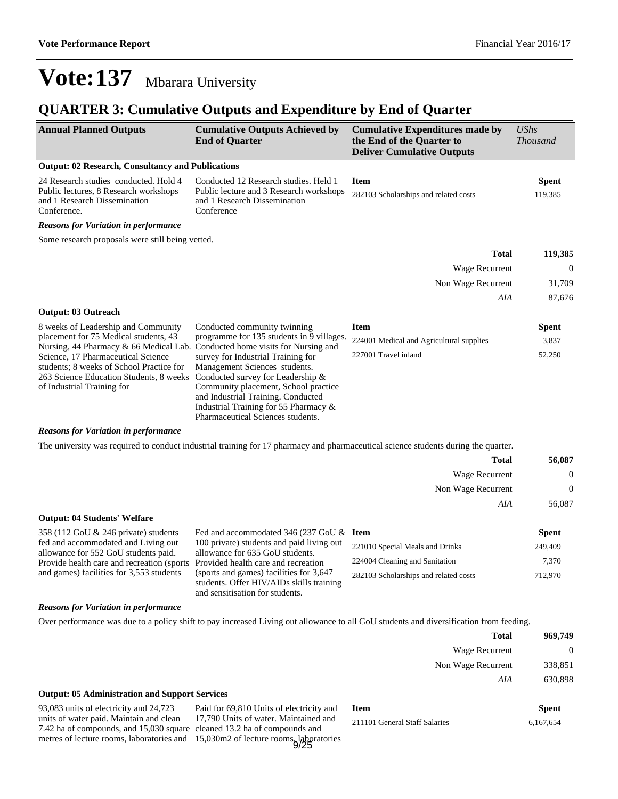### **QUARTER 3: Cumulative Outputs and Expenditure by End of Quarter**

| <b>Annual Planned Outputs</b>                                                                                                                           | <b>Cumulative Outputs Achieved by</b><br><b>End of Quarter</b>                                                                                                                                                                                                       | <b>Cumulative Expenditures made by</b><br>the End of the Quarter to<br><b>Deliver Cumulative Outputs</b>                               | <b>UShs</b><br><b>Thousand</b> |
|---------------------------------------------------------------------------------------------------------------------------------------------------------|----------------------------------------------------------------------------------------------------------------------------------------------------------------------------------------------------------------------------------------------------------------------|----------------------------------------------------------------------------------------------------------------------------------------|--------------------------------|
| <b>Output: 02 Research, Consultancy and Publications</b>                                                                                                |                                                                                                                                                                                                                                                                      |                                                                                                                                        |                                |
| 24 Research studies conducted. Hold 4<br>Public lectures, 8 Research workshops<br>and 1 Research Dissemination<br>Conference.                           | Conducted 12 Research studies. Held 1<br>Public lecture and 3 Research workshops<br>and 1 Research Dissemination<br>Conference                                                                                                                                       | <b>Item</b><br>282103 Scholarships and related costs                                                                                   | <b>Spent</b><br>119,385        |
| <b>Reasons for Variation in performance</b>                                                                                                             |                                                                                                                                                                                                                                                                      |                                                                                                                                        |                                |
| Some research proposals were still being vetted.                                                                                                        |                                                                                                                                                                                                                                                                      |                                                                                                                                        |                                |
|                                                                                                                                                         |                                                                                                                                                                                                                                                                      | <b>Total</b>                                                                                                                           | 119,385                        |
|                                                                                                                                                         |                                                                                                                                                                                                                                                                      | Wage Recurrent                                                                                                                         | $\mathbf{0}$                   |
|                                                                                                                                                         |                                                                                                                                                                                                                                                                      | Non Wage Recurrent                                                                                                                     | 31,709                         |
|                                                                                                                                                         |                                                                                                                                                                                                                                                                      | AIA                                                                                                                                    | 87,676                         |
| <b>Output: 03 Outreach</b>                                                                                                                              |                                                                                                                                                                                                                                                                      |                                                                                                                                        |                                |
| 8 weeks of Leadership and Community<br>placement for 75 Medical students, 43                                                                            | Conducted community twinning<br>programme for 135 students in 9 villages.                                                                                                                                                                                            | <b>Item</b><br>224001 Medical and Agricultural supplies                                                                                | <b>Spent</b><br>3,837          |
| Nursing, 44 Pharmacy $\&$ 66 Medical Lab. Conducted home visits for Nursing and                                                                         |                                                                                                                                                                                                                                                                      | 227001 Travel inland                                                                                                                   | 52,250                         |
| Science, 17 Pharmaceutical Science<br>students; 8 weeks of School Practice for<br>263 Science Education Students, 8 weeks<br>of Industrial Training for | survey for Industrial Training for<br>Management Sciences students.<br>Conducted survey for Leadership &<br>Community placement, School practice<br>and Industrial Training. Conducted<br>Industrial Training for 55 Pharmacy &<br>Pharmaceutical Sciences students. |                                                                                                                                        |                                |
| <b>Reasons for Variation in performance</b>                                                                                                             |                                                                                                                                                                                                                                                                      |                                                                                                                                        |                                |
|                                                                                                                                                         |                                                                                                                                                                                                                                                                      | The university was required to conduct industrial training for 17 pharmacy and pharmaceutical science students during the quarter.     |                                |
|                                                                                                                                                         |                                                                                                                                                                                                                                                                      | <b>Total</b>                                                                                                                           | 56,087                         |
|                                                                                                                                                         |                                                                                                                                                                                                                                                                      | Wage Recurrent                                                                                                                         | $\boldsymbol{0}$               |
|                                                                                                                                                         |                                                                                                                                                                                                                                                                      | Non Wage Recurrent                                                                                                                     | $\boldsymbol{0}$               |
|                                                                                                                                                         |                                                                                                                                                                                                                                                                      | AIA                                                                                                                                    | 56,087                         |
| <b>Output: 04 Students' Welfare</b>                                                                                                                     |                                                                                                                                                                                                                                                                      |                                                                                                                                        |                                |
| 358 (112 GoU & 246 private) students<br>fed and accommodated and Living out                                                                             | Fed and accommodated 346 (237 GoU & Item<br>100 private) students and paid living out                                                                                                                                                                                |                                                                                                                                        | <b>Spent</b>                   |
| allowance for 552 GoU students paid.                                                                                                                    | allowance for 635 GoU students.                                                                                                                                                                                                                                      | 221010 Special Meals and Drinks                                                                                                        | 249,409                        |
| Provide health care and recreation (sports                                                                                                              | Provided health care and recreation                                                                                                                                                                                                                                  | 224004 Cleaning and Sanitation                                                                                                         | 7,370                          |
| and games) facilities for 3,553 students                                                                                                                | (sports and games) facilities for 3,647<br>students. Offer HIV/AIDs skills training<br>and sensitisation for students.                                                                                                                                               | 282103 Scholarships and related costs                                                                                                  | 712,970                        |
| <b>Reasons for Variation in performance</b>                                                                                                             |                                                                                                                                                                                                                                                                      |                                                                                                                                        |                                |
|                                                                                                                                                         |                                                                                                                                                                                                                                                                      | Over performance was due to a policy shift to pay increased Living out allowance to all GoU students and diversification from feeding. |                                |
|                                                                                                                                                         |                                                                                                                                                                                                                                                                      | Total                                                                                                                                  | 969,749                        |

|                                                       | Wage Recurrent     | $\Omega$ |
|-------------------------------------------------------|--------------------|----------|
|                                                       | Non Wage Recurrent | 338,851  |
|                                                       | AIA                | 630.898  |
| <b>Output: 05 Administration and Support Services</b> |                    |          |

93,083 units of electricity and 24,723 units of water paid. Maintain and clean 7.42 ha of compounds, and 15,030 square cleaned 13.2 ha of compounds and metres of lecture rooms, laboratories and 15,030m2 of lecture rooms, laboratories 9/25 Paid for 69,810 Units of electricity an 17,790 Units of water. Maintained and

| ıd | - Item                        | <b>Spent</b> |
|----|-------------------------------|--------------|
| d  | 211101 General Staff Salaries | 6.167.654    |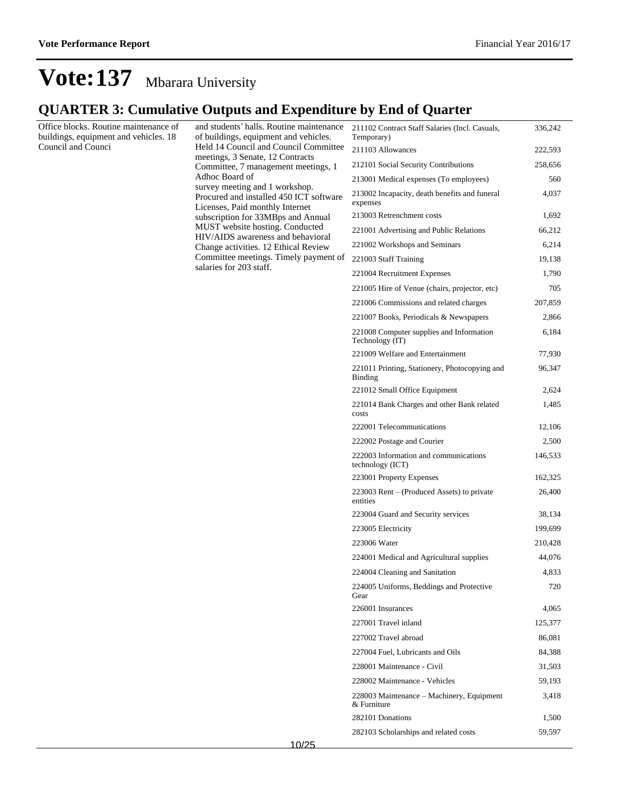### **QUARTER 3: Cumulative Outputs and Expenditure by End of Quarter**

Office blocks. Routine maintenance of buildings, equipment and vehicles. 18 Council and Counci

and students' halls. Routine maintenance of buildings, equipment and vehicles. Held 14 Council and Council Committee meetings, 3 Senate, 12 Contracts Committee, 7 management meetings, 1 Adhoc Board of survey meeting and 1 workshop. Procured and installed 450 ICT software Licenses, Paid monthly Internet subscription for 33MBps and Annual MUST website hosting. Conducted HIV/AIDS awareness and behavioral Change activities. 12 Ethical Review Committee meetings. Timely payment of salaries for 203 staff.

| 211102 Contract Staff Salaries (Incl. Casuals,<br>Temporary) | 336,242 |
|--------------------------------------------------------------|---------|
| 211103 Allowances                                            | 222,593 |
| 212101 Social Security Contributions                         | 258,656 |
| 213001 Medical expenses (To employees)                       | 560     |
| 213002 Incapacity, death benefits and funeral<br>expenses    | 4,037   |
| 213003 Retrenchment costs                                    | 1,692   |
| 221001 Advertising and Public Relations                      | 66,212  |
| 221002 Workshops and Seminars                                | 6,214   |
| 221003 Staff Training                                        | 19,138  |
| 221004 Recruitment Expenses                                  | 1,790   |
| 221005 Hire of Venue (chairs, projector, etc)                | 705     |
| 221006 Commissions and related charges                       | 207,859 |
| 221007 Books, Periodicals & Newspapers                       | 2,866   |
| 221008 Computer supplies and Information<br>Technology (IT)  | 6,184   |
| 221009 Welfare and Entertainment                             | 77,930  |
| 221011 Printing, Stationery, Photocopying and<br>Binding     | 96,347  |
| 221012 Small Office Equipment                                | 2,624   |
| 221014 Bank Charges and other Bank related<br>costs          | 1,485   |
| 222001 Telecommunications                                    | 12,106  |
| 222002 Postage and Courier                                   | 2,500   |
| 222003 Information and communications<br>technology (ICT)    | 146,533 |
| 223001 Property Expenses                                     | 162,325 |
| 223003 Rent – (Produced Assets) to private<br>entities       | 26,400  |
| 223004 Guard and Security services                           | 38,134  |
| 223005 Electricity                                           | 199,699 |
| 223006 Water                                                 | 210,428 |
| 224001 Medical and Agricultural supplies                     | 44,076  |
| 224004 Cleaning and Sanitation                               | 4,833   |
| 224005 Uniforms, Beddings and Protective<br>Gear             | 720     |
| 226001 Insurances                                            | 4,065   |
| 227001 Travel inland                                         | 125,377 |
| 227002 Travel abroad                                         | 86,081  |
| 227004 Fuel, Lubricants and Oils                             | 84,388  |
| 228001 Maintenance - Civil                                   | 31,503  |
| 228002 Maintenance - Vehicles                                | 59,193  |
| 228003 Maintenance – Machinery, Equipment<br>& Furniture     | 3,418   |
| 282101 Donations                                             | 1,500   |
| 282103 Scholarships and related costs                        | 59,597  |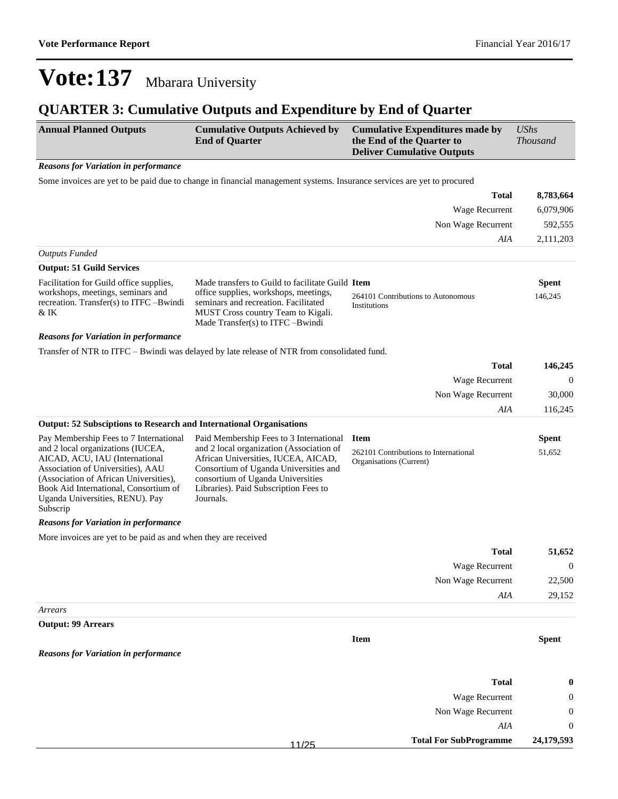### **QUARTER 3: Cumulative Outputs and Expenditure by End of Quarter**

| <b>Annual Planned Outputs</b>                                                                                                                                                                                                                                                        | <b>Cumulative Outputs Achieved by</b><br><b>End of Quarter</b>                                                                                                                                                                                                 | <b>Cumulative Expenditures made by</b><br>the End of the Quarter to<br><b>Deliver Cumulative Outputs</b> | <b>UShs</b><br><b>Thousand</b> |
|--------------------------------------------------------------------------------------------------------------------------------------------------------------------------------------------------------------------------------------------------------------------------------------|----------------------------------------------------------------------------------------------------------------------------------------------------------------------------------------------------------------------------------------------------------------|----------------------------------------------------------------------------------------------------------|--------------------------------|
| <b>Reasons for Variation in performance</b>                                                                                                                                                                                                                                          |                                                                                                                                                                                                                                                                |                                                                                                          |                                |
|                                                                                                                                                                                                                                                                                      | Some invoices are yet to be paid due to change in financial management systems. Insurance services are yet to procured                                                                                                                                         |                                                                                                          |                                |
|                                                                                                                                                                                                                                                                                      |                                                                                                                                                                                                                                                                | Total                                                                                                    | 8,783,664                      |
|                                                                                                                                                                                                                                                                                      |                                                                                                                                                                                                                                                                | Wage Recurrent                                                                                           | 6,079,906                      |
|                                                                                                                                                                                                                                                                                      |                                                                                                                                                                                                                                                                | Non Wage Recurrent                                                                                       | 592,555                        |
|                                                                                                                                                                                                                                                                                      |                                                                                                                                                                                                                                                                | AIA                                                                                                      | 2,111,203                      |
| <b>Outputs Funded</b>                                                                                                                                                                                                                                                                |                                                                                                                                                                                                                                                                |                                                                                                          |                                |
| <b>Output: 51 Guild Services</b>                                                                                                                                                                                                                                                     |                                                                                                                                                                                                                                                                |                                                                                                          |                                |
| Facilitation for Guild office supplies,<br>workshops, meetings, seminars and<br>recreation. Transfer(s) to ITFC -Bwindi<br>& IK                                                                                                                                                      | Made transfers to Guild to facilitate Guild Item<br>office supplies, workshops, meetings,<br>seminars and recreation. Facilitated<br>MUST Cross country Team to Kigali.<br>Made Transfer(s) to ITFC -Bwindi                                                    | 264101 Contributions to Autonomous<br>Institutions                                                       | <b>Spent</b><br>146,245        |
| <b>Reasons for Variation in performance</b>                                                                                                                                                                                                                                          |                                                                                                                                                                                                                                                                |                                                                                                          |                                |
|                                                                                                                                                                                                                                                                                      | Transfer of NTR to ITFC – Bwindi was delayed by late release of NTR from consolidated fund.                                                                                                                                                                    |                                                                                                          |                                |
|                                                                                                                                                                                                                                                                                      |                                                                                                                                                                                                                                                                | <b>Total</b>                                                                                             | 146,245                        |
|                                                                                                                                                                                                                                                                                      |                                                                                                                                                                                                                                                                | Wage Recurrent                                                                                           | $\boldsymbol{0}$               |
|                                                                                                                                                                                                                                                                                      |                                                                                                                                                                                                                                                                | Non Wage Recurrent                                                                                       | 30,000                         |
|                                                                                                                                                                                                                                                                                      |                                                                                                                                                                                                                                                                | AIA                                                                                                      | 116,245                        |
| <b>Output: 52 Subsciptions to Research and International Organisations</b>                                                                                                                                                                                                           |                                                                                                                                                                                                                                                                |                                                                                                          |                                |
| Pay Membership Fees to 7 International<br>and 2 local organizations (IUCEA,<br>AICAD, ACU, IAU (International<br>Association of Universities), AAU<br>(Association of African Universities),<br>Book Aid International, Consortium of<br>Uganda Universities, RENU). Pay<br>Subscrip | Paid Membership Fees to 3 International<br>and 2 local organization (Association of<br>African Universities, IUCEA, AICAD,<br>Consortium of Uganda Universities and<br>consortium of Uganda Universities<br>Libraries). Paid Subscription Fees to<br>Journals. | <b>Item</b><br>262101 Contributions to International<br>Organisations (Current)                          | <b>Spent</b><br>51,652         |
| <b>Reasons for Variation in performance</b>                                                                                                                                                                                                                                          |                                                                                                                                                                                                                                                                |                                                                                                          |                                |
| More invoices are yet to be paid as and when they are received                                                                                                                                                                                                                       |                                                                                                                                                                                                                                                                |                                                                                                          |                                |
|                                                                                                                                                                                                                                                                                      |                                                                                                                                                                                                                                                                | <b>Total</b>                                                                                             | 51,652                         |
|                                                                                                                                                                                                                                                                                      |                                                                                                                                                                                                                                                                | <b>Wage Recurrent</b>                                                                                    | $\boldsymbol{0}$               |
|                                                                                                                                                                                                                                                                                      |                                                                                                                                                                                                                                                                | Non Wage Recurrent                                                                                       | 22,500                         |
|                                                                                                                                                                                                                                                                                      |                                                                                                                                                                                                                                                                | $A I\!A$                                                                                                 | 29,152                         |
| Arrears                                                                                                                                                                                                                                                                              |                                                                                                                                                                                                                                                                |                                                                                                          |                                |
| <b>Output: 99 Arrears</b>                                                                                                                                                                                                                                                            |                                                                                                                                                                                                                                                                |                                                                                                          |                                |
|                                                                                                                                                                                                                                                                                      |                                                                                                                                                                                                                                                                | Item                                                                                                     | <b>Spent</b>                   |
| <b>Reasons for Variation in performance</b>                                                                                                                                                                                                                                          |                                                                                                                                                                                                                                                                |                                                                                                          |                                |
|                                                                                                                                                                                                                                                                                      |                                                                                                                                                                                                                                                                | <b>Total</b>                                                                                             | $\bf{0}$                       |
|                                                                                                                                                                                                                                                                                      |                                                                                                                                                                                                                                                                | Wage Recurrent                                                                                           | 0                              |
|                                                                                                                                                                                                                                                                                      |                                                                                                                                                                                                                                                                | Non Wage Recurrent                                                                                       | 0                              |
|                                                                                                                                                                                                                                                                                      |                                                                                                                                                                                                                                                                | AIA                                                                                                      | $\boldsymbol{0}$               |
|                                                                                                                                                                                                                                                                                      | 11/25                                                                                                                                                                                                                                                          | <b>Total For SubProgramme</b>                                                                            | 24,179,593                     |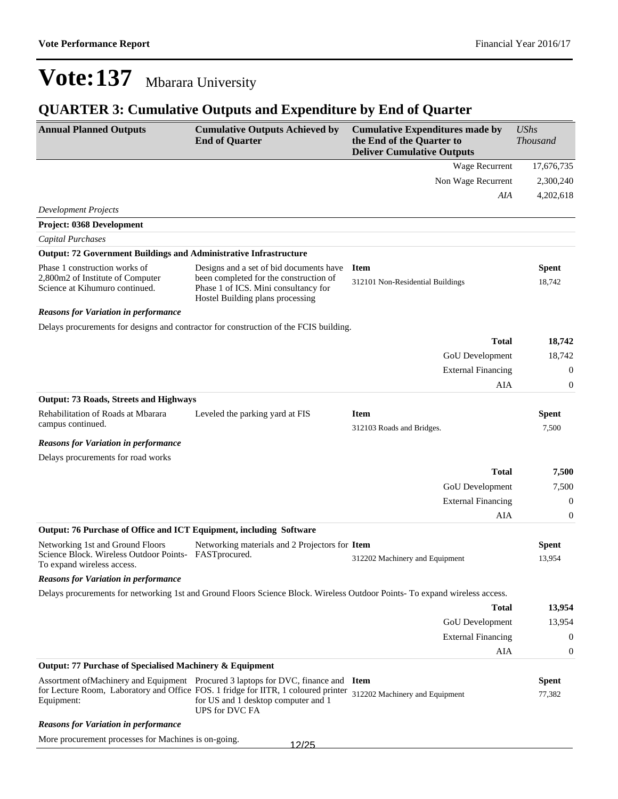### **QUARTER 3: Cumulative Outputs and Expenditure by End of Quarter**

| <b>Annual Planned Outputs</b>                                                                       | <b>Cumulative Outputs Achieved by</b><br><b>End of Quarter</b>                                                                                                                                                                           | <b>Cumulative Expenditures made by</b><br>the End of the Quarter to<br><b>Deliver Cumulative Outputs</b>                   | <b>UShs</b><br><b>Thousand</b> |
|-----------------------------------------------------------------------------------------------------|------------------------------------------------------------------------------------------------------------------------------------------------------------------------------------------------------------------------------------------|----------------------------------------------------------------------------------------------------------------------------|--------------------------------|
|                                                                                                     |                                                                                                                                                                                                                                          | Wage Recurrent                                                                                                             | 17,676,735                     |
|                                                                                                     |                                                                                                                                                                                                                                          | Non Wage Recurrent                                                                                                         | 2,300,240                      |
|                                                                                                     |                                                                                                                                                                                                                                          | AIA                                                                                                                        | 4,202,618                      |
| <b>Development Projects</b>                                                                         |                                                                                                                                                                                                                                          |                                                                                                                            |                                |
| Project: 0368 Development                                                                           |                                                                                                                                                                                                                                          |                                                                                                                            |                                |
| <b>Capital Purchases</b>                                                                            |                                                                                                                                                                                                                                          |                                                                                                                            |                                |
| <b>Output: 72 Government Buildings and Administrative Infrastructure</b>                            |                                                                                                                                                                                                                                          |                                                                                                                            |                                |
| Phase 1 construction works of<br>2,800m2 of Institute of Computer<br>Science at Kihumuro continued. | Designs and a set of bid documents have<br>been completed for the construction of<br>Phase 1 of ICS. Mini consultancy for<br>Hostel Building plans processing                                                                            | <b>Item</b><br>312101 Non-Residential Buildings                                                                            | <b>Spent</b><br>18,742         |
| <b>Reasons for Variation in performance</b>                                                         |                                                                                                                                                                                                                                          |                                                                                                                            |                                |
|                                                                                                     | Delays procurements for designs and contractor for construction of the FCIS building.                                                                                                                                                    |                                                                                                                            |                                |
|                                                                                                     |                                                                                                                                                                                                                                          | <b>Total</b>                                                                                                               | 18,742                         |
|                                                                                                     |                                                                                                                                                                                                                                          | GoU Development                                                                                                            | 18,742                         |
|                                                                                                     |                                                                                                                                                                                                                                          | <b>External Financing</b>                                                                                                  | $\boldsymbol{0}$               |
|                                                                                                     |                                                                                                                                                                                                                                          | AIA                                                                                                                        | $\boldsymbol{0}$               |
| <b>Output: 73 Roads, Streets and Highways</b>                                                       |                                                                                                                                                                                                                                          |                                                                                                                            |                                |
| Rehabilitation of Roads at Mbarara<br>campus continued.                                             | Leveled the parking yard at FIS                                                                                                                                                                                                          | <b>Item</b>                                                                                                                | <b>Spent</b>                   |
|                                                                                                     |                                                                                                                                                                                                                                          | 312103 Roads and Bridges.                                                                                                  | 7,500                          |
| <b>Reasons for Variation in performance</b>                                                         |                                                                                                                                                                                                                                          |                                                                                                                            |                                |
| Delays procurements for road works                                                                  |                                                                                                                                                                                                                                          |                                                                                                                            |                                |
|                                                                                                     |                                                                                                                                                                                                                                          | <b>Total</b>                                                                                                               | 7,500                          |
|                                                                                                     |                                                                                                                                                                                                                                          | GoU Development                                                                                                            | 7,500                          |
|                                                                                                     |                                                                                                                                                                                                                                          | <b>External Financing</b>                                                                                                  | $\boldsymbol{0}$               |
|                                                                                                     |                                                                                                                                                                                                                                          | AIA                                                                                                                        | $\boldsymbol{0}$               |
| Output: 76 Purchase of Office and ICT Equipment, including Software                                 |                                                                                                                                                                                                                                          |                                                                                                                            |                                |
| Networking 1st and Ground Floors<br>Science Block. Wireless Outdoor Points-                         | Networking materials and 2 Projectors for Item<br>FASTprocured.                                                                                                                                                                          |                                                                                                                            | <b>Spent</b>                   |
| To expand wireless access.                                                                          |                                                                                                                                                                                                                                          | 312202 Machinery and Equipment                                                                                             | 13,954                         |
| <b>Reasons for Variation in performance</b>                                                         |                                                                                                                                                                                                                                          |                                                                                                                            |                                |
|                                                                                                     |                                                                                                                                                                                                                                          | Delays procurements for networking 1st and Ground Floors Science Block. Wireless Outdoor Points-To expand wireless access. |                                |
|                                                                                                     |                                                                                                                                                                                                                                          | Total                                                                                                                      | 13,954                         |
|                                                                                                     |                                                                                                                                                                                                                                          | GoU Development                                                                                                            | 13,954                         |
|                                                                                                     |                                                                                                                                                                                                                                          | <b>External Financing</b>                                                                                                  | 0                              |
|                                                                                                     |                                                                                                                                                                                                                                          | AIA                                                                                                                        | 0                              |
| Output: 77 Purchase of Specialised Machinery & Equipment                                            |                                                                                                                                                                                                                                          |                                                                                                                            |                                |
| Equipment:                                                                                          | Assortment of Machinery and Equipment Procured 3 laptops for DVC, finance and Item<br>for Lecture Room, Laboratory and Office FOS. 1 fridge for IITR, 1 coloured printer<br>for US and 1 desktop computer and 1<br><b>UPS</b> for DVC FA | 312202 Machinery and Equipment                                                                                             | <b>Spent</b><br>77,382         |
| <b>Reasons for Variation in performance</b>                                                         |                                                                                                                                                                                                                                          |                                                                                                                            |                                |
| More procurement processes for Machines is on-going.                                                | 12/25                                                                                                                                                                                                                                    |                                                                                                                            |                                |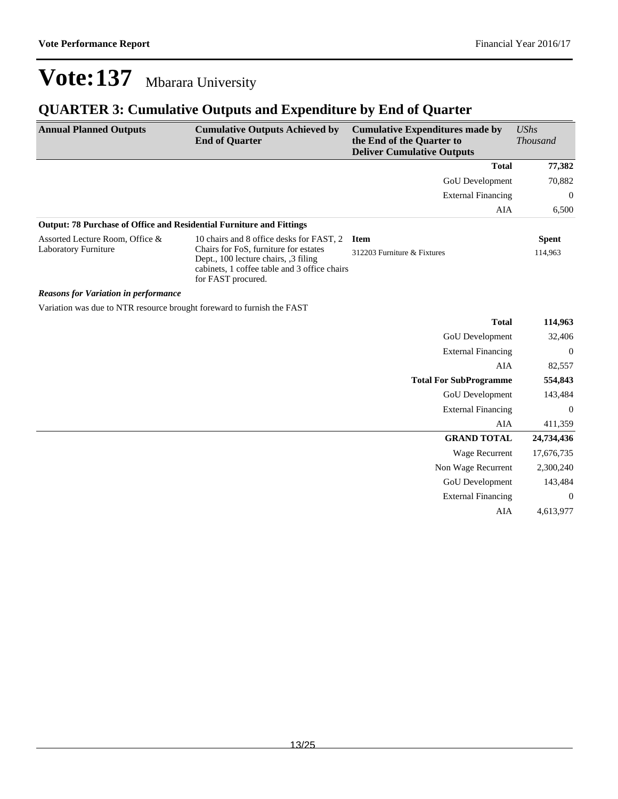### **QUARTER 3: Cumulative Outputs and Expenditure by End of Quarter**

| <b>Annual Planned Outputs</b>                                               | <b>Cumulative Outputs Achieved by</b><br><b>End of Quarter</b>                                                                                     | <b>Cumulative Expenditures made by</b><br>the End of the Quarter to<br><b>Deliver Cumulative Outputs</b> | <b>UShs</b><br><b>Thousand</b> |
|-----------------------------------------------------------------------------|----------------------------------------------------------------------------------------------------------------------------------------------------|----------------------------------------------------------------------------------------------------------|--------------------------------|
|                                                                             |                                                                                                                                                    | <b>Total</b>                                                                                             | 77,382                         |
|                                                                             |                                                                                                                                                    | <b>GoU</b> Development                                                                                   | 70,882                         |
|                                                                             |                                                                                                                                                    | <b>External Financing</b>                                                                                | $\overline{0}$                 |
|                                                                             |                                                                                                                                                    | AIA                                                                                                      | 6,500                          |
| <b>Output: 78 Purchase of Office and Residential Furniture and Fittings</b> |                                                                                                                                                    |                                                                                                          |                                |
| Assorted Lecture Room, Office &                                             | 10 chairs and 8 office desks for FAST, 2                                                                                                           | <b>Item</b>                                                                                              | <b>Spent</b>                   |
| <b>Laboratory Furniture</b>                                                 | Chairs for FoS, furniture for estates<br>Dept., 100 lecture chairs, 3 filing<br>cabinets, 1 coffee table and 3 office chairs<br>for FAST procured. | 312203 Furniture & Fixtures                                                                              | 114,963                        |
| <b>Reasons for Variation in performance</b>                                 |                                                                                                                                                    |                                                                                                          |                                |
| Variation was due to NTR resource brought foreward to furnish the FAST      |                                                                                                                                                    |                                                                                                          |                                |
|                                                                             |                                                                                                                                                    | <b>Total</b>                                                                                             | 114,963                        |
|                                                                             |                                                                                                                                                    | <b>GoU</b> Development                                                                                   | 32,406                         |
|                                                                             |                                                                                                                                                    | <b>External Financing</b>                                                                                | $\Omega$                       |
|                                                                             |                                                                                                                                                    | AIA                                                                                                      | 82,557                         |
|                                                                             |                                                                                                                                                    | <b>Total For SubProgramme</b>                                                                            | 554,843                        |
|                                                                             |                                                                                                                                                    | $\alpha$ in $\alpha$                                                                                     | 1.40.40.4                      |

| GoU Development           | 143,484  |
|---------------------------|----------|
| <b>External Financing</b> | $\theta$ |
| AIA                       | 411,359  |

| <b>GRAND TOTAL</b>        | 24,734,436        |
|---------------------------|-------------------|
| Wage Recurrent            | 17,676,735        |
| Non Wage Recurrent        | 2,300,240         |
| GoU Development           | 143.484           |
| <b>External Financing</b> | $\mathbf{\Omega}$ |
| AIA                       | 4,613,977         |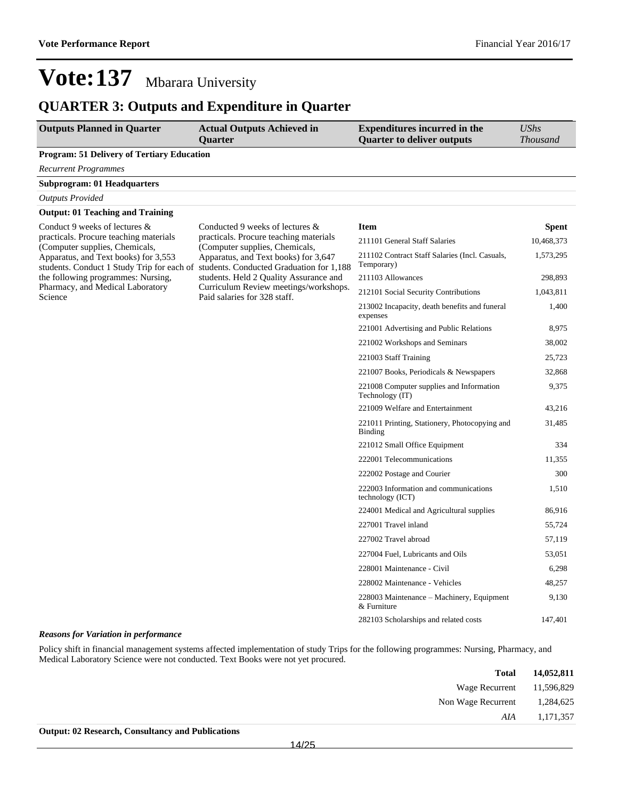#### **QUARTER 3: Outputs and Expenditure in Quarter**

| <b>Outputs Planned in Quarter</b>                                                  | <b>Actual Outputs Achieved in</b><br><b>Ouarter</b>                                                         | <b>Expenditures incurred in the</b><br><b>Quarter to deliver outputs</b> | <b>UShs</b><br>Thousand |
|------------------------------------------------------------------------------------|-------------------------------------------------------------------------------------------------------------|--------------------------------------------------------------------------|-------------------------|
| <b>Program: 51 Delivery of Tertiary Education</b>                                  |                                                                                                             |                                                                          |                         |
| <b>Recurrent Programmes</b>                                                        |                                                                                                             |                                                                          |                         |
| <b>Subprogram: 01 Headquarters</b>                                                 |                                                                                                             |                                                                          |                         |
| <b>Outputs Provided</b>                                                            |                                                                                                             |                                                                          |                         |
| <b>Output: 01 Teaching and Training</b>                                            |                                                                                                             |                                                                          |                         |
| Conduct 9 weeks of lectures &                                                      | Conducted 9 weeks of lectures &<br>practicals. Procure teaching materials<br>(Computer supplies, Chemicals, | <b>Item</b>                                                              | <b>Spent</b>            |
| practicals. Procure teaching materials<br>(Computer supplies, Chemicals,           |                                                                                                             | 211101 General Staff Salaries                                            | 10,468,373              |
| Apparatus, and Text books) for 3,553<br>students. Conduct 1 Study Trip for each of | Apparatus, and Text books) for 3,647<br>students. Conducted Graduation for 1,188                            | 211102 Contract Staff Salaries (Incl. Casuals,<br>Temporary)             | 1,573,295               |
| the following programmes: Nursing,                                                 | students. Held 2 Quality Assurance and                                                                      | 211103 Allowances                                                        | 298,893                 |
| Pharmacy, and Medical Laboratory<br>Science                                        | Curriculum Review meetings/workshops.<br>Paid salaries for 328 staff.                                       | 212101 Social Security Contributions                                     | 1,043,811               |
|                                                                                    |                                                                                                             | 213002 Incapacity, death benefits and funeral<br>expenses                | 1,400                   |
|                                                                                    |                                                                                                             | 221001 Advertising and Public Relations                                  | 8,975                   |
|                                                                                    |                                                                                                             | 221002 Workshops and Seminars                                            | 38,002                  |
|                                                                                    |                                                                                                             | 221003 Staff Training                                                    | 25,723                  |
|                                                                                    |                                                                                                             | 221007 Books, Periodicals & Newspapers                                   | 32,868                  |
|                                                                                    |                                                                                                             | 221008 Computer supplies and Information<br>Technology (IT)              | 9,375                   |
|                                                                                    |                                                                                                             | 221009 Welfare and Entertainment                                         | 43.216                  |
|                                                                                    |                                                                                                             | 221011 Printing, Stationery, Photocopying and<br>Binding                 | 31,485                  |
|                                                                                    |                                                                                                             | 221012 Small Office Equipment                                            | 334                     |
|                                                                                    |                                                                                                             | 222001 Telecommunications                                                | 11,355                  |
|                                                                                    |                                                                                                             | 222002 Postage and Courier                                               | 300                     |
|                                                                                    |                                                                                                             | 222003 Information and communications<br>technology (ICT)                | 1,510                   |
|                                                                                    |                                                                                                             | 224001 Medical and Agricultural supplies                                 | 86,916                  |
|                                                                                    |                                                                                                             | 227001 Travel inland                                                     | 55,724                  |
|                                                                                    |                                                                                                             | 227002 Travel abroad                                                     | 57,119                  |
|                                                                                    |                                                                                                             | 227004 Fuel, Lubricants and Oils                                         | 53,051                  |
|                                                                                    |                                                                                                             | 228001 Maintenance - Civil                                               | 6,298                   |
|                                                                                    |                                                                                                             | 228002 Maintenance - Vehicles                                            | 48,257                  |
|                                                                                    |                                                                                                             | 228003 Maintenance – Machinery, Equipment<br>& Furniture                 | 9,130                   |
|                                                                                    |                                                                                                             | 282103 Scholarships and related costs                                    | 147,401                 |

#### *Reasons for Variation in performance*

Policy shift in financial management systems affected implementation of study Trips for the following programmes: Nursing, Pharmacy, and Medical Laboratory Science were not conducted. Text Books were not yet procured.

| 14,052,811 | <b>Total</b>              |
|------------|---------------------------|
|            | Wage Recurrent 11,596,829 |
| 1,284,625  | Non Wage Recurrent        |
| 1,171,357  | AIA                       |
|            |                           |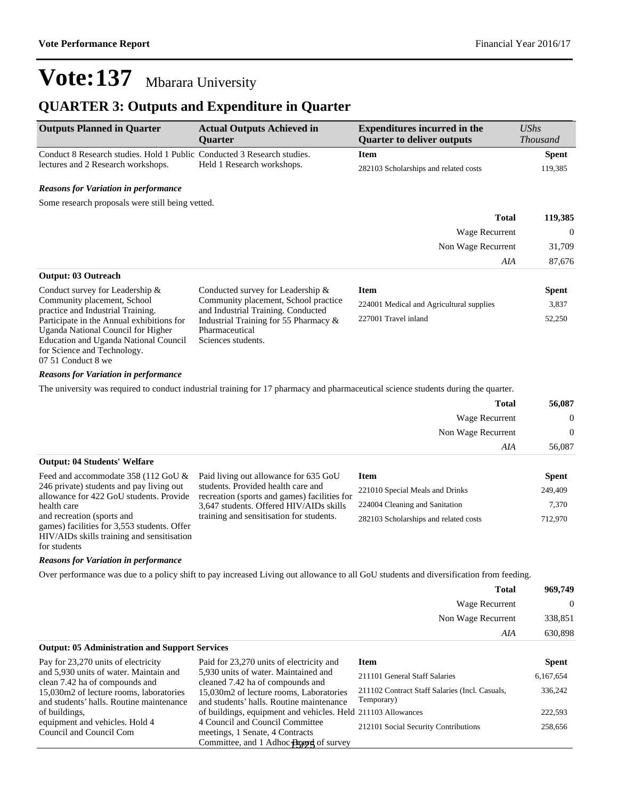336,242

### **Vote:137** Mbarara University

#### **QUARTER 3: Outputs and Expenditure in Quarter**

| <b>Outputs Planned in Quarter</b>                                       | <b>Actual Outputs Achieved in</b><br><b>Ouarter</b> | <b>Expenditures incurred in the</b><br><b>Quarter to deliver outputs</b> | UShs<br><i>Thousand</i> |
|-------------------------------------------------------------------------|-----------------------------------------------------|--------------------------------------------------------------------------|-------------------------|
| Conduct 8 Research studies. Hold 1 Public Conducted 3 Research studies. |                                                     | Item                                                                     | <b>Spent</b>            |
| lectures and 2 Research workshops.                                      | Held 1 Research workshops.                          | 282103 Scholarships and related costs                                    | 119,385                 |
|                                                                         |                                                     |                                                                          |                         |

#### *Reasons for Variation in performance*

Some research proposals were still being vetted.

| <b>Total</b>               | 119,385        |
|----------------------------|----------------|
| Wage Recurrent             | $\overline{0}$ |
| Non Wage Recurrent         | 31,709         |
| AIA                        | 87,676         |
| <b>Output: 03 Outreach</b> |                |

| Conduct survey for Leadership $\&$        | Conducted survey for Leadership $\&$  | Item                                     | <b>Spent</b> |
|-------------------------------------------|---------------------------------------|------------------------------------------|--------------|
| Community placement, School               | Community placement, School practice  | 224001 Medical and Agricultural supplies | 3,837        |
| practice and Industrial Training.         | and Industrial Training. Conducted    |                                          |              |
| Participate in the Annual exhibitions for | Industrial Training for 55 Pharmacy & | 227001 Travel inland                     | 52,250       |
| Uganda National Council for Higher        | Pharmaceutical                        |                                          |              |
| Education and Uganda National Council     | Sciences students.                    |                                          |              |
| for Science and Technology.               |                                       |                                          |              |

#### *Reasons for Variation in performance*

07 51 Conduct 8 we

The university was required to conduct industrial training for 17 pharmacy and pharmaceutical science students during the quarter.

|                                                                                                                 | <b>Total</b>          | 56,087         |
|-----------------------------------------------------------------------------------------------------------------|-----------------------|----------------|
|                                                                                                                 | <b>Wage Recurrent</b> | $\overline{0}$ |
|                                                                                                                 | Non Wage Recurrent    | $\overline{0}$ |
|                                                                                                                 | AIA                   | 56,087         |
| <b>Output: 04 Students' Welfare</b>                                                                             |                       |                |
| the contract of the contract of the contract of the contract of the contract of the contract of the contract of |                       | $-$            |

| Feed and accommodate 358 (112 GoU $\&$ Paid living out allowance for 635 GoU |                                              | <b>Item</b>                           | <b>Spent</b> |
|------------------------------------------------------------------------------|----------------------------------------------|---------------------------------------|--------------|
| 246 private) students and pay living out                                     | students. Provided health care and           | 221010 Special Meals and Drinks       | 249,409      |
| allowance for 422 GoU students. Provide                                      | recreation (sports and games) facilities for |                                       |              |
| health care                                                                  | 3,647 students. Offered HIV/AIDs skills      | 224004 Cleaning and Sanitation        | 7.370        |
| and recreation (sports and                                                   | training and sensitisation for students.     | 282103 Scholarships and related costs | 712,970      |
| games) facilities for 3,553 students. Offer                                  |                                              |                                       |              |

HIV/AIDs skills training and sensitisation for students

#### *Reasons for Variation in performance*

Over performance was due to a policy shift to pay increased Living out allowance to all GoU students and diversification from feeding.

| 969,749          | Total              |
|------------------|--------------------|
| $\boldsymbol{0}$ | Wage Recurrent     |
| 338,851          | Non Wage Recurrent |
| 630,898          | AIA                |

#### **Output: 05 Administration and Support Services** Pay for 23,270 units of electricity and 5,930 units of water. Maintain and clean 7.42 ha of compounds and 15,030m2 of lecture rooms, laboratories and students' halls. Routine maintenance of buildings, equipment and vehicles. Hold 4 Council and Council Com Paid for 23,270 units of electricity and 5,930 units of water. Maintained and cleaned 7.42 ha of compounds and 15,030m2 of lecture rooms, Laboratories and students' halls. Routine maintenance of buildings, equipment and vehicles. Held 211103 Allowances 222,593 4 Council and Council Committee meetings, 1 Senate, 4 Contracts Committee, and 1 Adhoc **Aged** of survey **Item Spent** 211101 General Staff Salaries 6,167,654 211102 Contract Staff Salaries (Incl. Casuals, Temporary) 212101 Social Security Contributions 258,656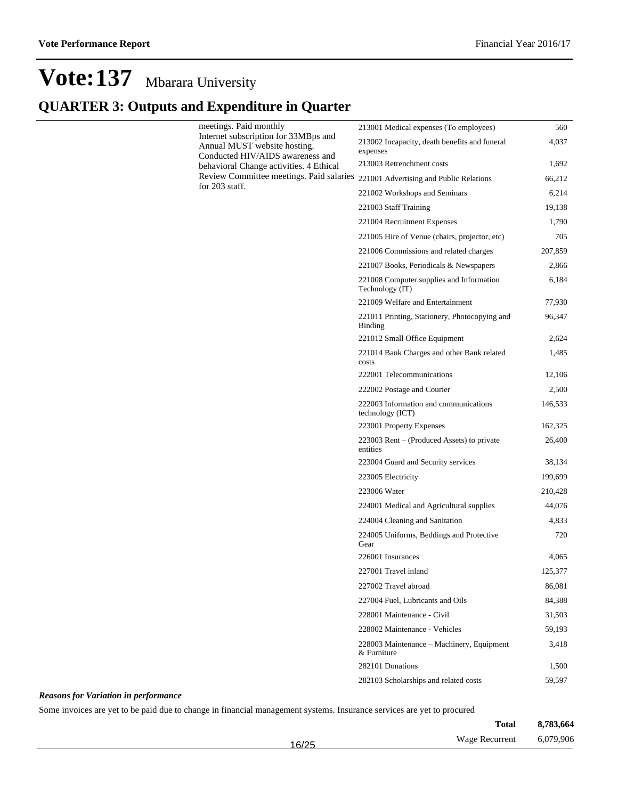### **QUARTER 3: Outputs and Expenditure in Quarter**

| meetings. Paid monthly<br>Internet subscription for 33MBps and<br>Annual MUST website hosting.<br>Conducted HIV/AIDS awareness and | 213001 Medical expenses (To employees)                          | 560     |
|------------------------------------------------------------------------------------------------------------------------------------|-----------------------------------------------------------------|---------|
|                                                                                                                                    | 213002 Incapacity, death benefits and funeral<br>expenses       | 4,037   |
| behavioral Change activities. 4 Ethical                                                                                            | 213003 Retrenchment costs                                       | 1,692   |
| Review Committee meetings. Paid salaries 221001 Advertising and Public Relations                                                   |                                                                 | 66,212  |
| for 203 staff.                                                                                                                     | 221002 Workshops and Seminars                                   | 6,214   |
|                                                                                                                                    | 221003 Staff Training                                           | 19,138  |
|                                                                                                                                    | 221004 Recruitment Expenses                                     | 1,790   |
|                                                                                                                                    | 221005 Hire of Venue (chairs, projector, etc)                   | 705     |
|                                                                                                                                    | 221006 Commissions and related charges                          | 207,859 |
|                                                                                                                                    | 221007 Books, Periodicals & Newspapers                          | 2,866   |
|                                                                                                                                    | 221008 Computer supplies and Information<br>Technology (IT)     | 6,184   |
|                                                                                                                                    | 221009 Welfare and Entertainment                                | 77,930  |
|                                                                                                                                    | 221011 Printing, Stationery, Photocopying and<br><b>Binding</b> | 96,347  |
|                                                                                                                                    | 221012 Small Office Equipment                                   | 2,624   |
|                                                                                                                                    | 221014 Bank Charges and other Bank related<br>costs             | 1,485   |
|                                                                                                                                    | 222001 Telecommunications                                       | 12,106  |
|                                                                                                                                    | 222002 Postage and Courier                                      | 2,500   |
|                                                                                                                                    | 222003 Information and communications<br>technology (ICT)       | 146,533 |
|                                                                                                                                    | 223001 Property Expenses                                        | 162,325 |
|                                                                                                                                    | 223003 Rent – (Produced Assets) to private<br>entities          | 26,400  |
|                                                                                                                                    | 223004 Guard and Security services                              | 38,134  |
|                                                                                                                                    | 223005 Electricity                                              | 199,699 |
|                                                                                                                                    | 223006 Water                                                    | 210,428 |
|                                                                                                                                    | 224001 Medical and Agricultural supplies                        | 44,076  |
|                                                                                                                                    | 224004 Cleaning and Sanitation                                  | 4,833   |
|                                                                                                                                    | 224005 Uniforms, Beddings and Protective<br>Gear                | 720     |
|                                                                                                                                    | 226001 Insurances                                               | 4,065   |
|                                                                                                                                    | 227001 Travel inland                                            | 125,377 |
|                                                                                                                                    | 227002 Travel abroad                                            | 86,081  |
|                                                                                                                                    | 227004 Fuel. Lubricants and Oils                                | 84,388  |
|                                                                                                                                    | 228001 Maintenance - Civil                                      | 31,503  |
|                                                                                                                                    | 228002 Maintenance - Vehicles                                   | 59,193  |
|                                                                                                                                    | 228003 Maintenance - Machinery, Equipment<br>& Furniture        | 3,418   |
|                                                                                                                                    | 282101 Donations                                                | 1,500   |
|                                                                                                                                    | 282103 Scholarships and related costs                           | 59,597  |

#### *Reasons for Variation in performance*

Some invoices are yet to be paid due to change in financial management systems. Insurance services are yet to procured

|       | <b>Total</b>          | 8,783,664 |
|-------|-----------------------|-----------|
| 16/25 | <b>Wage Recurrent</b> | 6,079,906 |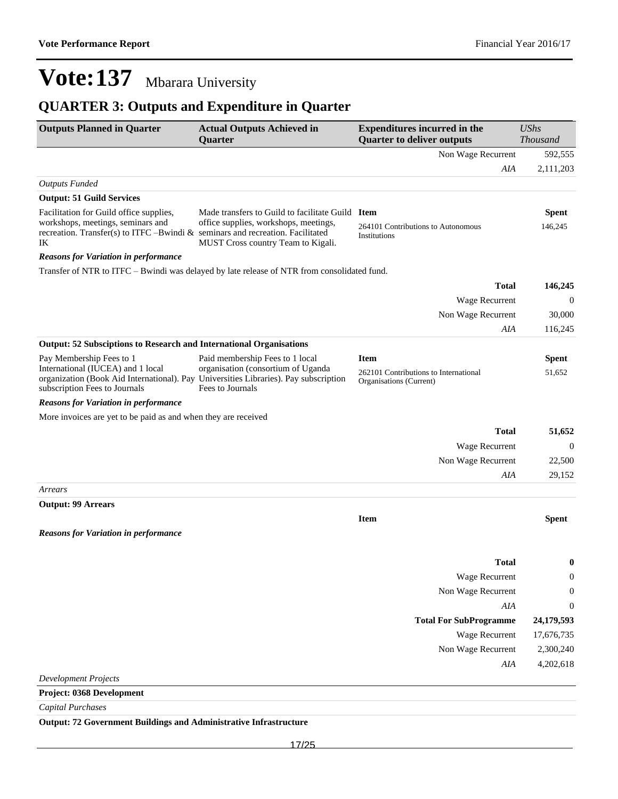### **QUARTER 3: Outputs and Expenditure in Quarter**

| <b>Outputs Planned in Quarter</b>                                                                                                                          | <b>Actual Outputs Achieved in</b><br>Quarter                                                | <b>Expenditures incurred in the</b><br><b>Quarter to deliver outputs</b> | <b>UShs</b><br>Thousand |
|------------------------------------------------------------------------------------------------------------------------------------------------------------|---------------------------------------------------------------------------------------------|--------------------------------------------------------------------------|-------------------------|
|                                                                                                                                                            |                                                                                             | Non Wage Recurrent                                                       | 592,555                 |
|                                                                                                                                                            |                                                                                             | AIA                                                                      | 2,111,203               |
| <b>Outputs Funded</b>                                                                                                                                      |                                                                                             |                                                                          |                         |
| <b>Output: 51 Guild Services</b>                                                                                                                           |                                                                                             |                                                                          |                         |
| Facilitation for Guild office supplies,                                                                                                                    | Made transfers to Guild to facilitate Guild Item                                            |                                                                          | <b>Spent</b>            |
| workshops, meetings, seminars and<br>recreation. Transfer(s) to ITFC -Bwindi $&$ seminars and recreation. Facilitated<br>IK                                | office supplies, workshops, meetings,<br>MUST Cross country Team to Kigali.                 | 264101 Contributions to Autonomous<br>Institutions                       | 146,245                 |
| <b>Reasons for Variation in performance</b>                                                                                                                |                                                                                             |                                                                          |                         |
|                                                                                                                                                            | Transfer of NTR to ITFC – Bwindi was delayed by late release of NTR from consolidated fund. |                                                                          |                         |
|                                                                                                                                                            |                                                                                             | <b>Total</b>                                                             | 146,245                 |
|                                                                                                                                                            |                                                                                             | Wage Recurrent                                                           | $\mathbf{0}$            |
|                                                                                                                                                            |                                                                                             | Non Wage Recurrent                                                       | 30,000                  |
|                                                                                                                                                            |                                                                                             | AIA                                                                      | 116,245                 |
| <b>Output: 52 Subsciptions to Research and International Organisations</b>                                                                                 |                                                                                             |                                                                          |                         |
| Pay Membership Fees to 1                                                                                                                                   | Paid membership Fees to 1 local                                                             | <b>Item</b>                                                              | <b>Spent</b>            |
| International (IUCEA) and 1 local<br>organization (Book Aid International). Pay Universities Libraries). Pay subscription<br>subscription Fees to Journals | organisation (consortium of Uganda<br>Fees to Journals                                      | 262101 Contributions to International<br>Organisations (Current)         | 51,652                  |
| <b>Reasons for Variation in performance</b>                                                                                                                |                                                                                             |                                                                          |                         |
| More invoices are yet to be paid as and when they are received                                                                                             |                                                                                             |                                                                          |                         |
|                                                                                                                                                            |                                                                                             | <b>Total</b>                                                             | 51,652                  |
|                                                                                                                                                            |                                                                                             | Wage Recurrent                                                           | $\mathbf{0}$            |
|                                                                                                                                                            |                                                                                             | Non Wage Recurrent                                                       | 22,500                  |
|                                                                                                                                                            |                                                                                             | AIA                                                                      | 29,152                  |
| Arrears                                                                                                                                                    |                                                                                             |                                                                          |                         |
| <b>Output: 99 Arrears</b>                                                                                                                                  |                                                                                             |                                                                          |                         |
|                                                                                                                                                            |                                                                                             | <b>Item</b>                                                              | <b>Spent</b>            |
| <b>Reasons for Variation in performance</b>                                                                                                                |                                                                                             |                                                                          |                         |
|                                                                                                                                                            |                                                                                             | <b>Total</b>                                                             | 0                       |
|                                                                                                                                                            |                                                                                             | Wage Recurrent                                                           | 0                       |
|                                                                                                                                                            |                                                                                             | Non Wage Recurrent                                                       | 0                       |
|                                                                                                                                                            |                                                                                             | AIA                                                                      | $\boldsymbol{0}$        |
|                                                                                                                                                            |                                                                                             | <b>Total For SubProgramme</b>                                            | 24,179,593              |
|                                                                                                                                                            |                                                                                             | Wage Recurrent                                                           | 17,676,735              |
|                                                                                                                                                            |                                                                                             | Non Wage Recurrent                                                       | 2,300,240               |
|                                                                                                                                                            |                                                                                             | AIA                                                                      | 4,202,618               |
| <b>Development Projects</b>                                                                                                                                |                                                                                             |                                                                          |                         |
| Project: 0368 Development                                                                                                                                  |                                                                                             |                                                                          |                         |
| <b>Capital Purchases</b>                                                                                                                                   |                                                                                             |                                                                          |                         |
|                                                                                                                                                            |                                                                                             |                                                                          |                         |

**Output: 72 Government Buildings and Administrative Infrastructure**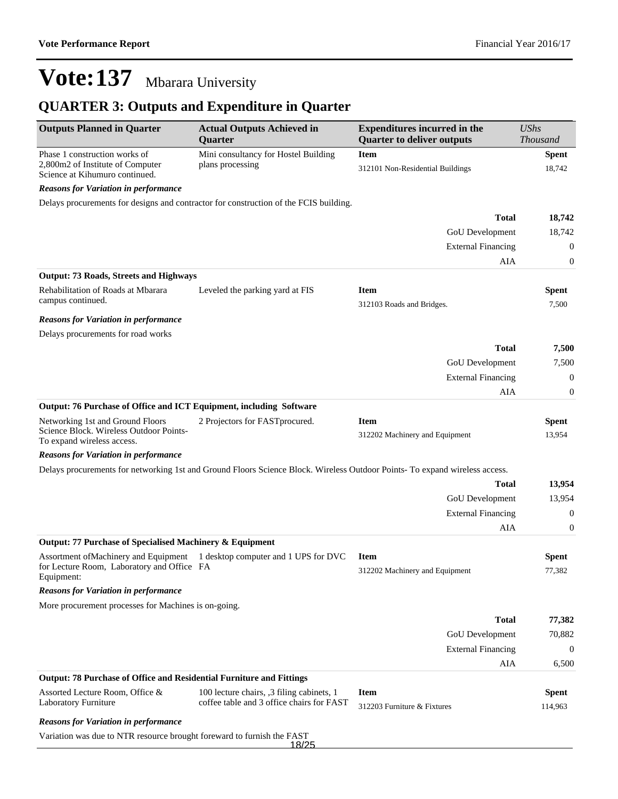### **QUARTER 3: Outputs and Expenditure in Quarter**

| <b>Outputs Planned in Quarter</b>                                                                         | <b>Actual Outputs Achieved in</b><br>Quarter                                                                               | <b>Expenditures incurred in the</b><br><b>Quarter to deliver outputs</b> | <b>UShs</b><br><b>Thousand</b> |
|-----------------------------------------------------------------------------------------------------------|----------------------------------------------------------------------------------------------------------------------------|--------------------------------------------------------------------------|--------------------------------|
| Phase 1 construction works of<br>2,800m2 of Institute of Computer<br>Science at Kihumuro continued.       | Mini consultancy for Hostel Building<br>plans processing                                                                   | <b>Item</b><br>312101 Non-Residential Buildings                          | <b>Spent</b><br>18,742         |
| <b>Reasons for Variation in performance</b>                                                               |                                                                                                                            |                                                                          |                                |
|                                                                                                           | Delays procurements for designs and contractor for construction of the FCIS building.                                      |                                                                          |                                |
|                                                                                                           |                                                                                                                            | <b>Total</b>                                                             | 18,742                         |
|                                                                                                           |                                                                                                                            | GoU Development                                                          | 18,742                         |
|                                                                                                           |                                                                                                                            | <b>External Financing</b>                                                | $\boldsymbol{0}$               |
|                                                                                                           |                                                                                                                            | AIA                                                                      | $\boldsymbol{0}$               |
| <b>Output: 73 Roads, Streets and Highways</b>                                                             |                                                                                                                            |                                                                          |                                |
| Rehabilitation of Roads at Mbarara<br>campus continued.                                                   | Leveled the parking yard at FIS                                                                                            | <b>Item</b><br>312103 Roads and Bridges.                                 | <b>Spent</b><br>7,500          |
| <b>Reasons for Variation in performance</b>                                                               |                                                                                                                            |                                                                          |                                |
| Delays procurements for road works                                                                        |                                                                                                                            |                                                                          |                                |
|                                                                                                           |                                                                                                                            | <b>Total</b>                                                             | 7,500                          |
|                                                                                                           |                                                                                                                            | GoU Development                                                          | 7,500                          |
|                                                                                                           |                                                                                                                            | <b>External Financing</b>                                                | $\mathbf{0}$                   |
|                                                                                                           |                                                                                                                            | AIA                                                                      | $\boldsymbol{0}$               |
| Output: 76 Purchase of Office and ICT Equipment, including Software                                       |                                                                                                                            |                                                                          |                                |
| Networking 1st and Ground Floors<br>Science Block. Wireless Outdoor Points-<br>To expand wireless access. | 2 Projectors for FAST procured.                                                                                            | <b>Item</b><br>312202 Machinery and Equipment                            | <b>Spent</b><br>13,954         |
| <b>Reasons for Variation in performance</b>                                                               |                                                                                                                            |                                                                          |                                |
|                                                                                                           | Delays procurements for networking 1st and Ground Floors Science Block. Wireless Outdoor Points-To expand wireless access. |                                                                          |                                |
|                                                                                                           |                                                                                                                            | <b>Total</b>                                                             | 13,954                         |
|                                                                                                           |                                                                                                                            | GoU Development                                                          | 13,954                         |
|                                                                                                           |                                                                                                                            | <b>External Financing</b>                                                | $\boldsymbol{0}$               |
|                                                                                                           |                                                                                                                            | AIA                                                                      | $\boldsymbol{0}$               |
| Output: 77 Purchase of Specialised Machinery & Equipment                                                  |                                                                                                                            |                                                                          |                                |
| Assortment of Machinery and Equipment<br>for Lecture Room, Laboratory and Office FA<br>Equipment:         | 1 desktop computer and 1 UPS for DVC                                                                                       | <b>Item</b><br>312202 Machinery and Equipment                            | <b>Spent</b><br>77,382         |
| <b>Reasons for Variation in performance</b>                                                               |                                                                                                                            |                                                                          |                                |
| More procurement processes for Machines is on-going.                                                      |                                                                                                                            |                                                                          |                                |
|                                                                                                           |                                                                                                                            | <b>Total</b>                                                             | 77,382                         |
|                                                                                                           |                                                                                                                            | GoU Development                                                          | 70,882                         |
|                                                                                                           |                                                                                                                            | <b>External Financing</b>                                                | $\mathbf{0}$                   |
|                                                                                                           |                                                                                                                            | AIA                                                                      | 6,500                          |
| <b>Output: 78 Purchase of Office and Residential Furniture and Fittings</b>                               |                                                                                                                            |                                                                          |                                |
| Assorted Lecture Room, Office &<br>Laboratory Furniture                                                   | 100 lecture chairs, 3 filing cabinets, 1<br>coffee table and 3 office chairs for FAST                                      | <b>Item</b><br>312203 Furniture & Fixtures                               | <b>Spent</b><br>114,963        |
| <b>Reasons for Variation in performance</b>                                                               |                                                                                                                            |                                                                          |                                |
| Variation was due to NTR resource brought foreward to furnish the FAST                                    | 18/25                                                                                                                      |                                                                          |                                |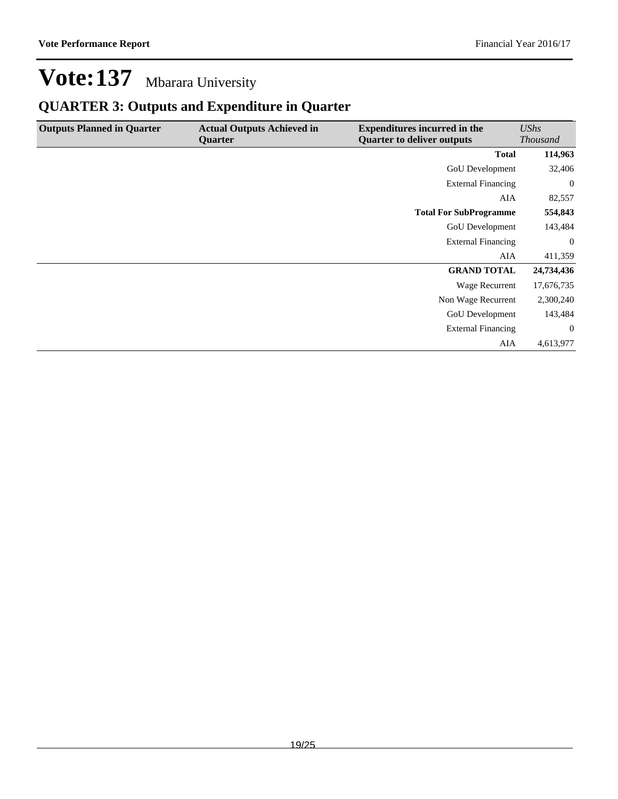### **QUARTER 3: Outputs and Expenditure in Quarter**

| <b>Outputs Planned in Quarter</b> | <b>Actual Outputs Achieved in</b><br><b>Quarter</b> | <b>Expenditures incurred in the</b><br><b>Quarter to deliver outputs</b> | UShs<br><b>Thousand</b> |
|-----------------------------------|-----------------------------------------------------|--------------------------------------------------------------------------|-------------------------|
|                                   |                                                     | <b>Total</b>                                                             | 114,963                 |
|                                   |                                                     | <b>GoU</b> Development                                                   | 32,406                  |
|                                   |                                                     | <b>External Financing</b>                                                | $\boldsymbol{0}$        |
|                                   |                                                     | AIA                                                                      | 82,557                  |
|                                   |                                                     | <b>Total For SubProgramme</b>                                            | 554,843                 |
|                                   |                                                     | GoU Development                                                          | 143,484                 |
|                                   |                                                     | <b>External Financing</b>                                                | $\overline{0}$          |
|                                   |                                                     | AIA                                                                      | 411,359                 |
|                                   |                                                     | <b>GRAND TOTAL</b>                                                       | 24,734,436              |
|                                   |                                                     | Wage Recurrent                                                           | 17,676,735              |
|                                   |                                                     | Non Wage Recurrent                                                       | 2,300,240               |
|                                   |                                                     | <b>GoU</b> Development                                                   | 143,484                 |
|                                   |                                                     | <b>External Financing</b>                                                | $\overline{0}$          |
|                                   |                                                     | AIA                                                                      | 4,613,977               |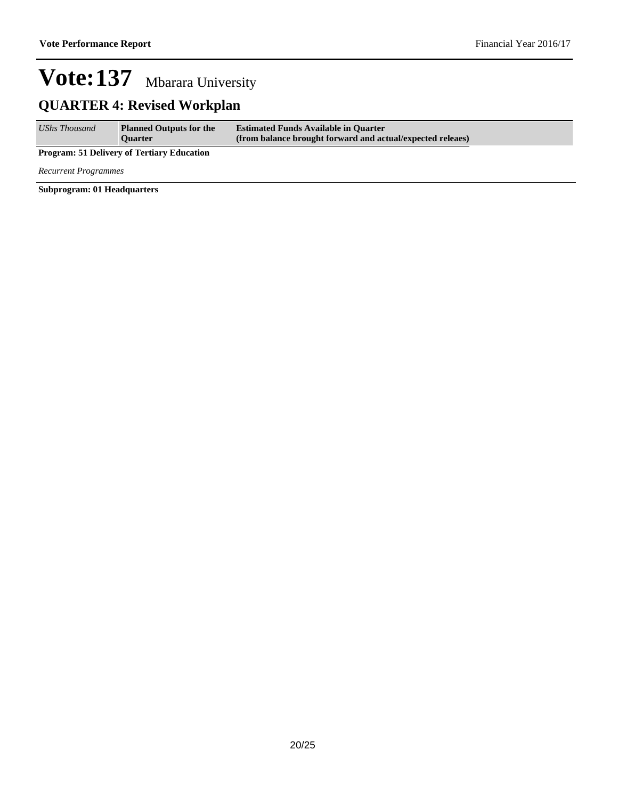### **QUARTER 4: Revised Workplan**

| <b>UShs Thousand</b> | <b>Planned Outputs for the</b> | <b>Estimated Funds Available in Quarter</b>                |
|----------------------|--------------------------------|------------------------------------------------------------|
|                      | <b>Ouarter</b>                 | (from balance brought forward and actual/expected releaes) |

**Program: 51 Delivery of Tertiary Education**

*Recurrent Programmes*

**Subprogram: 01 Headquarters**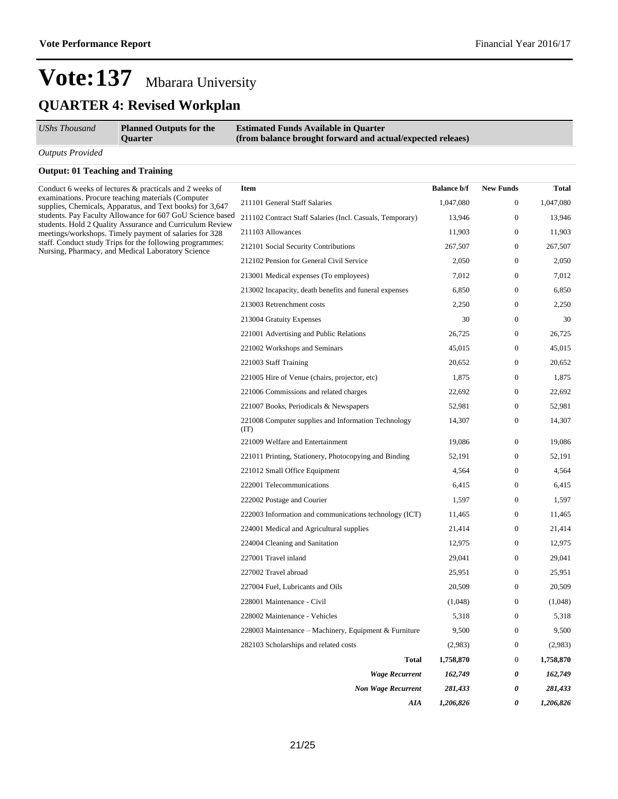### **Vote:137** Mbarara University **QUARTER 4: Revised Workplan**

|  | UShs Thousand |
|--|---------------|
|--|---------------|

*UShs Thousand* **Planned Outputs for the Quarter**

**Estimated Funds Available in Quarter (from balance brought forward and actual/expected releaes)**

*Outputs Provided*

#### **Output: 01 Teaching and Training**

Conduct 6 weeks of lectures & practicals and 2 weeks of examinations. Procure teaching materials (Computer supplies, Chemicals, Apparatus, and Text books) for 3,647 students. Pay Faculty Allowance for 607 GoU Science based students. Hold 2 Quality Assurance and Curriculum Review meetings/workshops. Timely payment of salaries for 328 staff. Conduct study Trips for the following programmes: Nursing, Pharmacy, and Medical Laboratory Science

| <b>Item</b>                                                 | <b>Balance b/f</b> | <b>New Funds</b> | <b>Total</b> |
|-------------------------------------------------------------|--------------------|------------------|--------------|
| 211101 General Staff Salaries                               | 1,047,080          | $\Omega$         | 1,047,080    |
| 211102 Contract Staff Salaries (Incl. Casuals, Temporary)   | 13,946             | $\Omega$         | 13,946       |
| 211103 Allowances                                           | 11,903             | $\mathbf{0}$     | 11,903       |
| 212101 Social Security Contributions                        | 267,507            | $\mathbf{0}$     | 267,507      |
| 212102 Pension for General Civil Service                    | 2.050              | $\Omega$         | 2.050        |
| 213001 Medical expenses (To employees)                      | 7,012              | $\Omega$         | 7,012        |
| 213002 Incapacity, death benefits and funeral expenses      | 6,850              | $\mathbf{0}$     | 6,850        |
| 213003 Retrenchment costs                                   | 2,250              | $\mathbf{0}$     | 2,250        |
| 213004 Gratuity Expenses                                    | 30                 | $\Omega$         | 30           |
| 221001 Advertising and Public Relations                     | 26,725             | $\Omega$         | 26,725       |
| 221002 Workshops and Seminars                               | 45,015             | $\mathbf{0}$     | 45,015       |
| 221003 Staff Training                                       | 20,652             | $\Omega$         | 20,652       |
| 221005 Hire of Venue (chairs, projector, etc)               | 1,875              | $\Omega$         | 1,875        |
| 221006 Commissions and related charges                      | 22,692             | $\Omega$         | 22,692       |
| 221007 Books, Periodicals & Newspapers                      | 52,981             | $\mathbf{0}$     | 52,981       |
| 221008 Computer supplies and Information Technology<br>(TT) | 14,307             | $\mathbf{0}$     | 14,307       |
| 221009 Welfare and Entertainment                            | 19,086             | $\Omega$         | 19,086       |
| 221011 Printing, Stationery, Photocopying and Binding       | 52,191             | $\mathbf{0}$     | 52,191       |
| 221012 Small Office Equipment                               | 4,564              | $\mathbf{0}$     | 4,564        |
| 222001 Telecommunications                                   | 6.415              | $\Omega$         | 6,415        |
| 222002 Postage and Courier                                  | 1,597              | $\Omega$         | 1,597        |
| 222003 Information and communications technology (ICT)      | 11,465             | $\mathbf{0}$     | 11,465       |
| 224001 Medical and Agricultural supplies                    | 21,414             | $\mathbf{0}$     | 21,414       |
| 224004 Cleaning and Sanitation                              | 12,975             | $\Omega$         | 12,975       |
| 227001 Travel inland                                        | 29,041             | $\Omega$         | 29,041       |
| 227002 Travel abroad                                        | 25,951             | $\mathbf{0}$     | 25,951       |
| 227004 Fuel, Lubricants and Oils                            | 20,509             | $\mathbf{0}$     | 20,509       |
| 228001 Maintenance - Civil                                  | (1,048)            | $\Omega$         | (1,048)      |
| 228002 Maintenance - Vehicles                               | 5,318              | $\Omega$         | 5,318        |
| 228003 Maintenance – Machinery, Equipment & Furniture       | 9,500              | $\mathbf{0}$     | 9,500        |
| 282103 Scholarships and related costs                       | (2,983)            | $\mathbf{0}$     | (2,983)      |
| <b>Total</b>                                                | 1,758,870          | $\Omega$         | 1,758,870    |
| <b>Wage Recurrent</b>                                       | 162,749            | 0                | 162,749      |
| <b>Non Wage Recurrent</b>                                   | 281,433            | 0                | 281,433      |
| AIA                                                         | 1,206,826          | $\theta$         | 1,206,826    |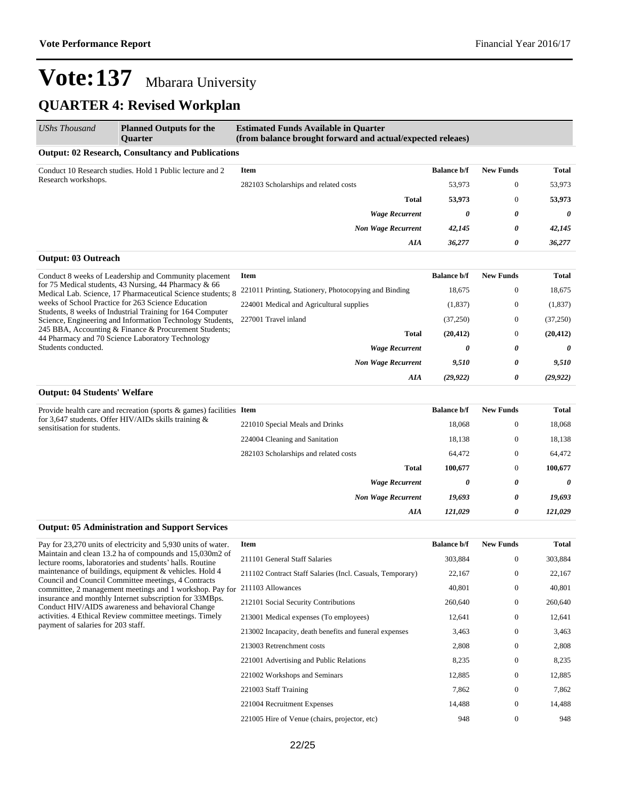### **QUARTER 4: Revised Workplan**

| <b>UShs Thousand</b>                | <b>Planned Outputs for the</b><br><b>Ouarter</b>                                                                        | <b>Estimated Funds Available in Quarter</b><br>(from balance brought forward and actual/expected releaes) |                    |                       |              |
|-------------------------------------|-------------------------------------------------------------------------------------------------------------------------|-----------------------------------------------------------------------------------------------------------|--------------------|-----------------------|--------------|
|                                     | <b>Output: 02 Research, Consultancy and Publications</b>                                                                |                                                                                                           |                    |                       |              |
|                                     | Conduct 10 Research studies. Hold 1 Public lecture and 2                                                                | <b>Item</b>                                                                                               | <b>Balance b/f</b> | <b>New Funds</b>      | <b>Total</b> |
| Research workshops.                 |                                                                                                                         | 282103 Scholarships and related costs                                                                     | 53,973             | $\mathbf{0}$          | 53,973       |
|                                     |                                                                                                                         | <b>Total</b>                                                                                              | 53,973             | $\mathbf{0}$          | 53,973       |
|                                     |                                                                                                                         | <b>Wage Recurrent</b>                                                                                     | 0                  | 0                     | 0            |
|                                     |                                                                                                                         | <b>Non Wage Recurrent</b>                                                                                 | 42,145             | 0                     | 42,145       |
|                                     |                                                                                                                         | AIA                                                                                                       | 36,277             | 0                     | 36,277       |
| <b>Output: 03 Outreach</b>          |                                                                                                                         |                                                                                                           |                    |                       |              |
|                                     | Conduct 8 weeks of Leadership and Community placement                                                                   | <b>Item</b>                                                                                               | <b>Balance b/f</b> | <b>New Funds</b>      | <b>Total</b> |
|                                     | for 75 Medical students, 43 Nursing, 44 Pharmacy $\&$ 66<br>Medical Lab. Science, 17 Pharmaceutical Science students; 8 | 221011 Printing, Stationery, Photocopying and Binding                                                     | 18,675             | $\mathbf{0}$          | 18,675       |
|                                     | weeks of School Practice for 263 Science Education                                                                      | 224001 Medical and Agricultural supplies                                                                  | (1,837)            | $\mathbf{0}$          | (1,837)      |
|                                     | Students, 8 weeks of Industrial Training for 164 Computer<br>Science, Engineering and Information Technology Students,  | 227001 Travel inland                                                                                      | (37,250)           | $\mathbf{0}$          | (37,250)     |
|                                     | 245 BBA, Accounting & Finance & Procurement Students;<br>44 Pharmacy and 70 Science Laboratory Technology               | <b>Total</b>                                                                                              | (20, 412)          | $\mathbf{0}$          | (20, 412)    |
| Students conducted.                 |                                                                                                                         | <b>Wage Recurrent</b>                                                                                     | 0                  | 0                     | $\theta$     |
|                                     |                                                                                                                         | <b>Non Wage Recurrent</b>                                                                                 | 9,510              | 0                     | 9,510        |
|                                     |                                                                                                                         | AIA                                                                                                       | (29, 922)          | 0                     | (29, 922)    |
| <b>Output: 04 Students' Welfare</b> |                                                                                                                         |                                                                                                           |                    |                       |              |
|                                     | Provide health care and recreation (sports $\&$ games) facilities Item                                                  |                                                                                                           | <b>Balance b/f</b> | <b>New Funds</b>      | <b>Total</b> |
| sensitisation for students.         | for 3,647 students. Offer HIV/AIDs skills training $\&$                                                                 | 221010 Special Meals and Drinks                                                                           | 18,068             | $\mathbf{0}$          | 18,068       |
|                                     |                                                                                                                         | 224004 Cleaning and Sanitation                                                                            | 18,138             | $\mathbf{0}$          | 18,138       |
|                                     |                                                                                                                         | 282103 Scholarships and related costs                                                                     | 64,472             | $\mathbf{0}$          | 64,472       |
|                                     |                                                                                                                         | <b>Total</b>                                                                                              | 100,677            | $\mathbf{0}$          | 100,677      |
|                                     |                                                                                                                         | <b>Wage Recurrent</b>                                                                                     | 0                  | $\boldsymbol{\theta}$ | $\theta$     |
|                                     |                                                                                                                         | <b>Non Wage Recurrent</b>                                                                                 | 19,693             | 0                     | 19,693       |

#### **Output: 05 Administration and Support Services**

Pay for 23,270 units of electricity and 5,930 units of water. Maintain and clean 13.2 ha of compounds and 15,030m2 of lecture rooms, laboratories and students' halls. Routine maintenance of buildings, equipment & vehicles. Hold 4 Council and Council Committee meetings, 4 Contracts committee, 2 management meetings and 1 workshop. Pay for insurance and monthly Internet subscription for 33MBps. Conduct HIV/AIDS awareness and behavioral Change activities. 4 Ethical Review committee meetings. Timely payment of salaries for 203 staff.

| <b>Item</b>                                               | <b>Balance b/f</b> | <b>New Funds</b> | <b>Total</b> |
|-----------------------------------------------------------|--------------------|------------------|--------------|
| 211101 General Staff Salaries                             | 303,884            | $\Omega$         | 303,884      |
| 211102 Contract Staff Salaries (Incl. Casuals, Temporary) | 22,167             | $\mathbf{0}$     | 22,167       |
| 211103 Allowances                                         | 40,801             | $\Omega$         | 40,801       |
| 212101 Social Security Contributions                      | 260,640            | $\mathbf{0}$     | 260,640      |
| 213001 Medical expenses (To employees)                    | 12,641             | $\Omega$         | 12,641       |
| 213002 Incapacity, death benefits and funeral expenses    | 3,463              | $\mathbf{0}$     | 3,463        |
| 213003 Retrenchment costs                                 | 2,808              | $\mathbf{0}$     | 2,808        |
| 221001 Advertising and Public Relations                   | 8,235              | $\mathbf{0}$     | 8.235        |
| 221002 Workshops and Seminars                             | 12,885             | $\mathbf{0}$     | 12,885       |
| 221003 Staff Training                                     | 7,862              | $\mathbf{0}$     | 7,862        |
| 221004 Recruitment Expenses                               | 14,488             | $\mathbf{0}$     | 14,488       |
| 221005 Hire of Venue (chairs, projector, etc)             | 948                | $\mathbf{0}$     | 948          |

*AIA 121,029 0 121,029*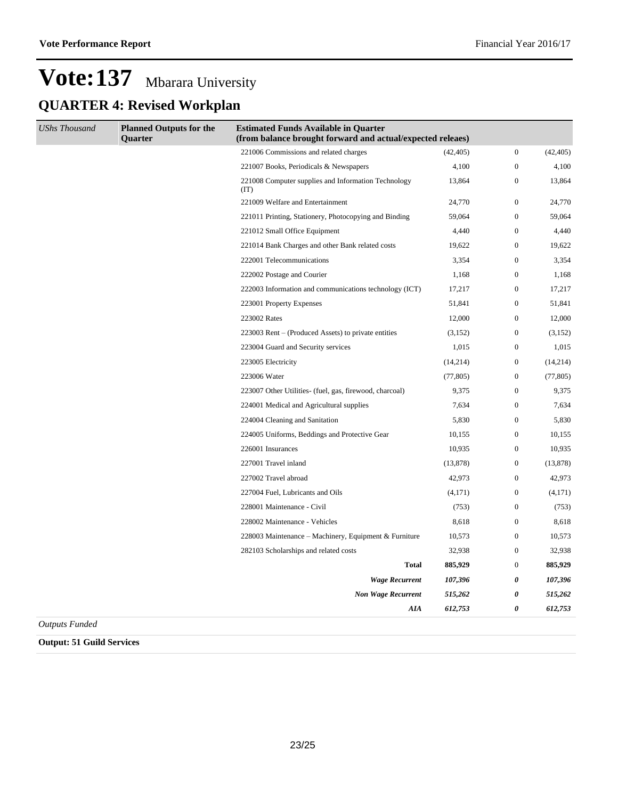### **Vote:137** Mbarara University **QUARTER 4: Revised Workplan**

| <b>UShs Thousand</b> | <b>Planned Outputs for the</b><br><b>Ouarter</b> | <b>Estimated Funds Available in Quarter</b><br>(from balance brought forward and actual/expected releaes) |           |                       |           |
|----------------------|--------------------------------------------------|-----------------------------------------------------------------------------------------------------------|-----------|-----------------------|-----------|
|                      |                                                  | 221006 Commissions and related charges                                                                    | (42, 405) | $\boldsymbol{0}$      | (42, 405) |
|                      |                                                  | 221007 Books, Periodicals & Newspapers                                                                    | 4,100     | $\boldsymbol{0}$      | 4,100     |
|                      |                                                  | 221008 Computer supplies and Information Technology<br>(TT)                                               | 13,864    | $\boldsymbol{0}$      | 13,864    |
|                      |                                                  | 221009 Welfare and Entertainment                                                                          | 24,770    | $\boldsymbol{0}$      | 24,770    |
|                      |                                                  | 221011 Printing, Stationery, Photocopying and Binding                                                     | 59,064    | $\boldsymbol{0}$      | 59,064    |
|                      |                                                  | 221012 Small Office Equipment                                                                             | 4,440     | $\boldsymbol{0}$      | 4,440     |
|                      |                                                  | 221014 Bank Charges and other Bank related costs                                                          | 19,622    | $\mathbf{0}$          | 19,622    |
|                      |                                                  | 222001 Telecommunications                                                                                 | 3,354     | $\boldsymbol{0}$      | 3,354     |
|                      |                                                  | 222002 Postage and Courier                                                                                | 1,168     | $\boldsymbol{0}$      | 1,168     |
|                      |                                                  | 222003 Information and communications technology (ICT)                                                    | 17,217    | $\boldsymbol{0}$      | 17,217    |
|                      |                                                  | 223001 Property Expenses                                                                                  | 51,841    | $\boldsymbol{0}$      | 51,841    |
|                      |                                                  | 223002 Rates                                                                                              | 12,000    | $\boldsymbol{0}$      | 12,000    |
|                      |                                                  | 223003 Rent – (Produced Assets) to private entities                                                       | (3, 152)  | $\boldsymbol{0}$      | (3, 152)  |
|                      |                                                  | 223004 Guard and Security services                                                                        | 1,015     | $\mathbf{0}$          | 1,015     |
|                      |                                                  | 223005 Electricity                                                                                        | (14,214)  | $\boldsymbol{0}$      | (14,214)  |
|                      |                                                  | 223006 Water                                                                                              | (77, 805) | $\boldsymbol{0}$      | (77, 805) |
|                      |                                                  | 223007 Other Utilities- (fuel, gas, firewood, charcoal)                                                   | 9,375     | $\boldsymbol{0}$      | 9,375     |
|                      |                                                  | 224001 Medical and Agricultural supplies                                                                  | 7,634     | $\boldsymbol{0}$      | 7,634     |
|                      |                                                  | 224004 Cleaning and Sanitation                                                                            | 5,830     | $\boldsymbol{0}$      | 5,830     |
|                      |                                                  | 224005 Uniforms, Beddings and Protective Gear                                                             | 10,155    | $\boldsymbol{0}$      | 10,155    |
|                      |                                                  | 226001 Insurances                                                                                         | 10,935    | $\boldsymbol{0}$      | 10,935    |
|                      |                                                  | 227001 Travel inland                                                                                      | (13, 878) | $\boldsymbol{0}$      | (13, 878) |
|                      |                                                  | 227002 Travel abroad                                                                                      | 42,973    | $\boldsymbol{0}$      | 42,973    |
|                      |                                                  | 227004 Fuel, Lubricants and Oils                                                                          | (4,171)   | $\boldsymbol{0}$      | (4,171)   |
|                      |                                                  | 228001 Maintenance - Civil                                                                                | (753)     | $\boldsymbol{0}$      | (753)     |
|                      |                                                  | 228002 Maintenance - Vehicles                                                                             | 8,618     | $\boldsymbol{0}$      | 8,618     |
|                      |                                                  | 228003 Maintenance - Machinery, Equipment & Furniture                                                     | 10,573    | $\boldsymbol{0}$      | 10,573    |
|                      |                                                  | 282103 Scholarships and related costs                                                                     | 32,938    | $\boldsymbol{0}$      | 32,938    |
|                      |                                                  | <b>Total</b>                                                                                              | 885,929   | $\boldsymbol{0}$      | 885,929   |
|                      |                                                  | <b>Wage Recurrent</b>                                                                                     | 107,396   | $\boldsymbol{\theta}$ | 107,396   |
|                      |                                                  | <b>Non Wage Recurrent</b>                                                                                 | 515,262   | 0                     | 515,262   |
|                      |                                                  | <b>AIA</b>                                                                                                | 612,753   | $\boldsymbol{\theta}$ | 612,753   |

*Outputs Funded*

**Output: 51 Guild Services**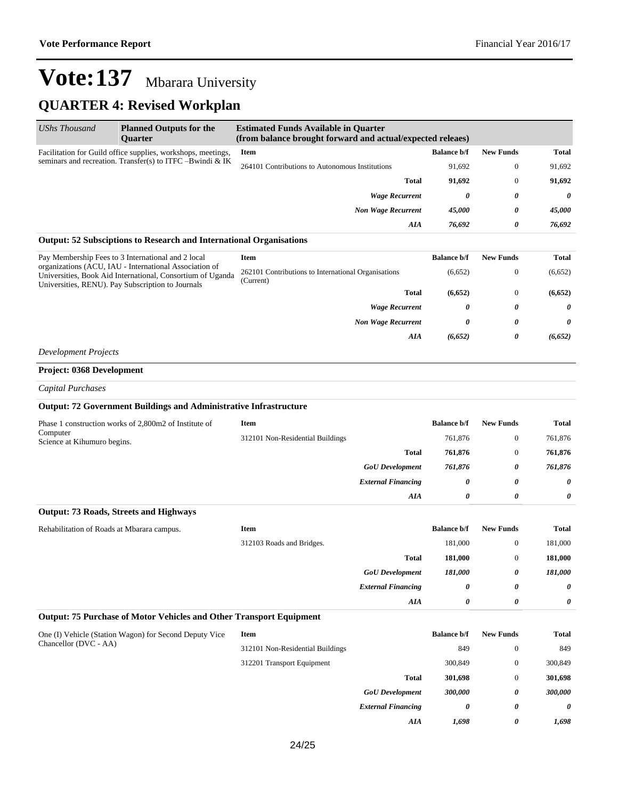### **QUARTER 4: Revised Workplan**

| UShs Thousand                                             | <b>Planned Outputs for the</b><br>Quarter                                                                                                                                 | <b>Estimated Funds Available in Quarter</b><br>(from balance brought forward and actual/expected releaes) |                    |                  |              |
|-----------------------------------------------------------|---------------------------------------------------------------------------------------------------------------------------------------------------------------------------|-----------------------------------------------------------------------------------------------------------|--------------------|------------------|--------------|
|                                                           | Facilitation for Guild office supplies, workshops, meetings,                                                                                                              | Item                                                                                                      | <b>Balance b/f</b> | <b>New Funds</b> | <b>Total</b> |
| seminars and recreation. Transfer(s) to ITFC -Bwindi & IK |                                                                                                                                                                           | 264101 Contributions to Autonomous Institutions                                                           | 91,692             | $\boldsymbol{0}$ | 91,692       |
|                                                           |                                                                                                                                                                           | <b>Total</b>                                                                                              | 91,692             | $\boldsymbol{0}$ | 91,692       |
|                                                           |                                                                                                                                                                           | <b>Wage Recurrent</b>                                                                                     | 0                  | 0                | 0            |
|                                                           |                                                                                                                                                                           | <b>Non Wage Recurrent</b>                                                                                 | 45,000             | 0                | 45,000       |
|                                                           |                                                                                                                                                                           | AIA                                                                                                       | 76,692             | 0                | 76,692       |
|                                                           | Output: 52 Subsciptions to Research and International Organisations                                                                                                       |                                                                                                           |                    |                  |              |
|                                                           | Pay Membership Fees to 3 International and 2 local                                                                                                                        | <b>Item</b>                                                                                               | <b>Balance b/f</b> | <b>New Funds</b> | <b>Total</b> |
|                                                           | organizations (ACU, IAU - International Association of<br>Universities, Book Aid International, Consortium of Uganda<br>Universities, RENU). Pay Subscription to Journals | 262101 Contributions to International Organisations<br>(Current)                                          | (6,652)            | $\boldsymbol{0}$ | (6,652)      |
|                                                           |                                                                                                                                                                           | <b>Total</b>                                                                                              | (6,652)            | $\boldsymbol{0}$ | (6,652)      |
|                                                           |                                                                                                                                                                           | <b>Wage Recurrent</b>                                                                                     | 0                  | 0                | 0            |
|                                                           |                                                                                                                                                                           | <b>Non Wage Recurrent</b>                                                                                 | 0                  | 0                | 0            |
|                                                           |                                                                                                                                                                           | AIA                                                                                                       | (6, 652)           | 0                | (6, 652)     |
| <b>Development Projects</b>                               |                                                                                                                                                                           |                                                                                                           |                    |                  |              |
| <b>Project: 0368 Development</b>                          |                                                                                                                                                                           |                                                                                                           |                    |                  |              |
| <b>Capital Purchases</b>                                  |                                                                                                                                                                           |                                                                                                           |                    |                  |              |
|                                                           | <b>Output: 72 Government Buildings and Administrative Infrastructure</b>                                                                                                  |                                                                                                           |                    |                  |              |
|                                                           | Phase 1 construction works of 2,800m2 of Institute of                                                                                                                     | Item                                                                                                      | <b>Balance b/f</b> | <b>New Funds</b> | Total        |
| Computer<br>Science at Kihumuro begins.                   |                                                                                                                                                                           | 312101 Non-Residential Buildings                                                                          | 761,876            | $\boldsymbol{0}$ | 761,876      |
|                                                           |                                                                                                                                                                           | Total                                                                                                     | 761,876            | $\boldsymbol{0}$ | 761,876      |
|                                                           |                                                                                                                                                                           | <b>GoU</b> Development                                                                                    | 761,876            | 0                | 761,876      |
|                                                           |                                                                                                                                                                           | <b>External Financing</b>                                                                                 | 0                  | 0                | 0            |
|                                                           |                                                                                                                                                                           | AIA                                                                                                       | 0                  | 0                | 0            |
|                                                           | <b>Output: 73 Roads, Streets and Highways</b>                                                                                                                             |                                                                                                           |                    |                  |              |
| Rehabilitation of Roads at Mbarara campus.                |                                                                                                                                                                           | Item                                                                                                      | <b>Balance b/f</b> | <b>New Funds</b> | Total        |
|                                                           |                                                                                                                                                                           | 312103 Roads and Bridges.                                                                                 | 181,000            | $\boldsymbol{0}$ | 181,000      |
|                                                           |                                                                                                                                                                           | <b>Total</b>                                                                                              | 181,000            | $\boldsymbol{0}$ | 181,000      |
|                                                           |                                                                                                                                                                           | ${\it GoU}$ Development                                                                                   | 181,000            | 0                | 181,000      |
|                                                           |                                                                                                                                                                           | <b>External Financing</b>                                                                                 | 0                  | 0                | 0            |
|                                                           |                                                                                                                                                                           | AIA                                                                                                       | 0                  | 0                | 0            |
|                                                           | Output: 75 Purchase of Motor Vehicles and Other Transport Equipment                                                                                                       |                                                                                                           |                    |                  |              |
|                                                           | One (I) Vehicle (Station Wagon) for Second Deputy Vice                                                                                                                    | <b>Item</b>                                                                                               | <b>Balance b/f</b> | <b>New Funds</b> | Total        |
| Chancellor (DVC - AA)                                     |                                                                                                                                                                           | 312101 Non-Residential Buildings                                                                          | 849                | $\boldsymbol{0}$ | 849          |
|                                                           |                                                                                                                                                                           | 312201 Transport Equipment                                                                                | 300,849            | $\boldsymbol{0}$ | 300,849      |
|                                                           |                                                                                                                                                                           | <b>Total</b>                                                                                              | 301,698            | $\boldsymbol{0}$ | 301,698      |
|                                                           |                                                                                                                                                                           | <b>GoU</b> Development                                                                                    | 300,000            | 0                | 300,000      |
|                                                           |                                                                                                                                                                           | <b>External Financing</b>                                                                                 | 0                  | 0                | 0            |
|                                                           |                                                                                                                                                                           | AIA                                                                                                       | 1,698              | 0                | 1,698        |